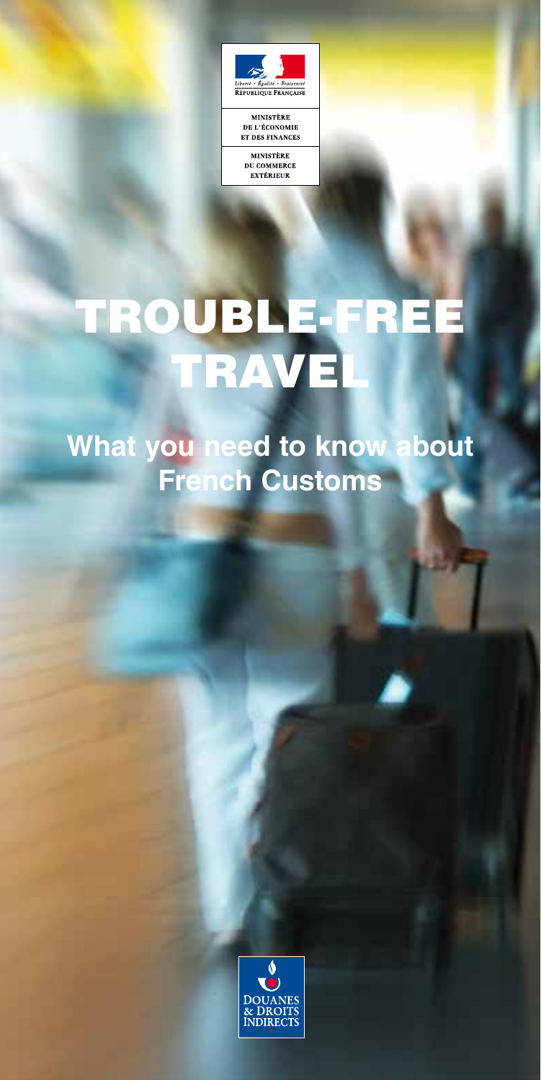

**MINISTÈRE DU COMMERCE**<br>EXTÉRIEUR

# TROUBLE-FREE TRAVEL

**What you need to know about French Customs**

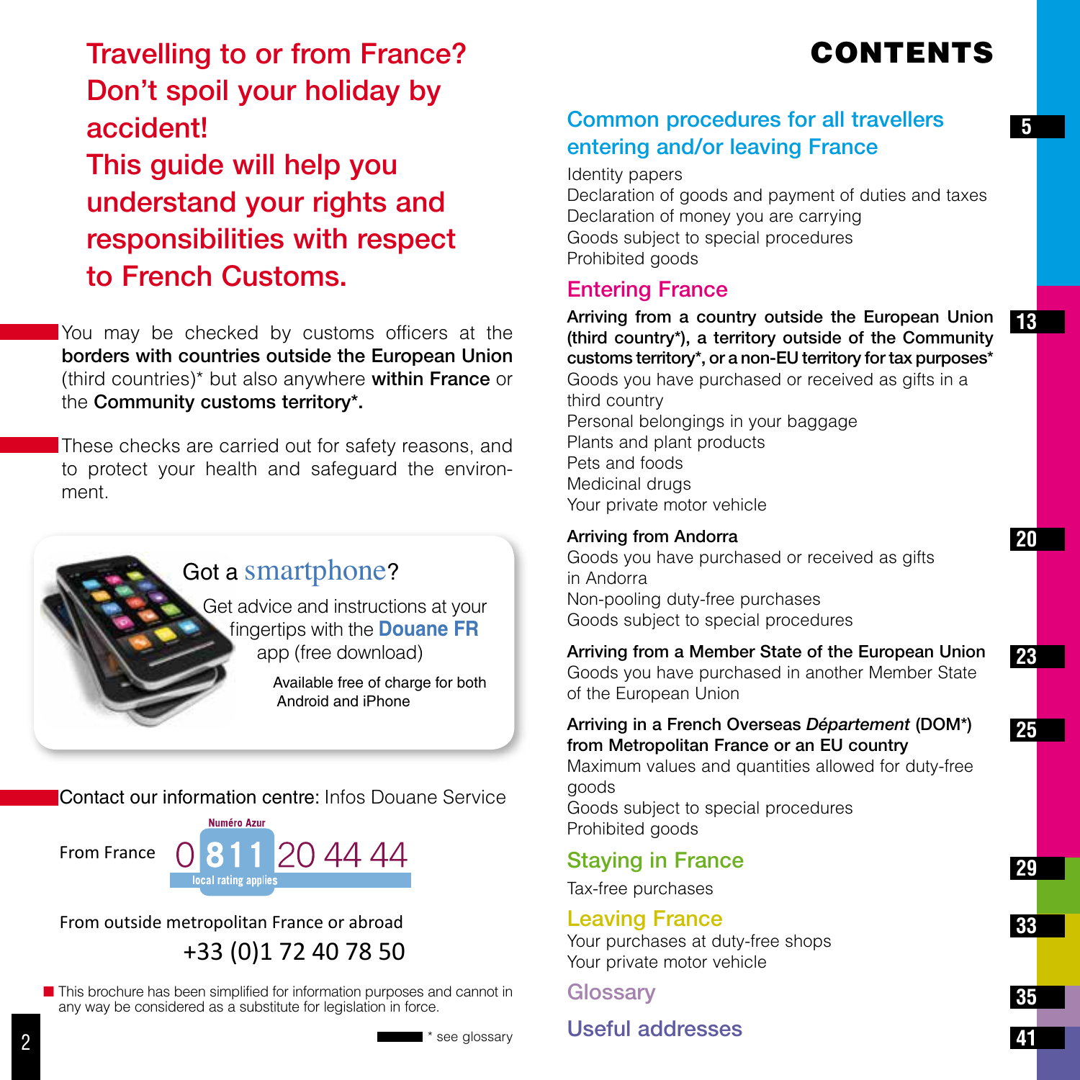# CONTENTS

**13**

**20**

**23**

**25**

Travelling to or from France? Don't spoil your holiday by accident! This guide will help you understand your rights and responsibilities with respect to French Customs.

You may be checked by customs officers at the borders with countries outside the European Union (third countries)\* but also anywhere within France or the Community customs territory\*.

These checks are carried out for safety reasons, and to protect your health and safeguard the environment.



**Contact our information centre:** Infos Douane Service



From outside metropolitan France or abroad +33 (0)1 72 40 78 50

 $\blacksquare$  This brochure has been simplified for information purposes and cannot in any way be considered as a substitute for legislation in force.

Identity papers

Declaration of goods and payment of duties and taxes Declaration of money you are carrying Goods subject to special procedures Prohibited goods

## Entering France

Arriving from a country outside the European Union (third country\*), a territory outside of the Community customs territory\*, or a non-EU territory for tax purposes\* Goods you have purchased or received as gifts in a third country Personal belongings in your baggage Plants and plant products Pets and foods Medicinal drugs Your private motor vehicle

### Arriving from Andorra

Goods you have purchased or received as gifts in Andorra Non-pooling duty-free purchases Goods subject to special procedures

### Arriving from a Member State of the European Union

Goods you have purchased in another Member State of the European Union

#### Arriving in a French Overseas *Département* (DOM\*) from Metropolitan France or an EU country

Maximum values and quantities allowed for duty-free goods

Goods subject to special procedures Prohibited goods

# Staying in France

Tax-free purchases

### Leaving France

Your purchases at duty-free shops Your private motor vehicle

**Glossary** 

\* see glossary

# Useful addresses

**33**

**35**

**41**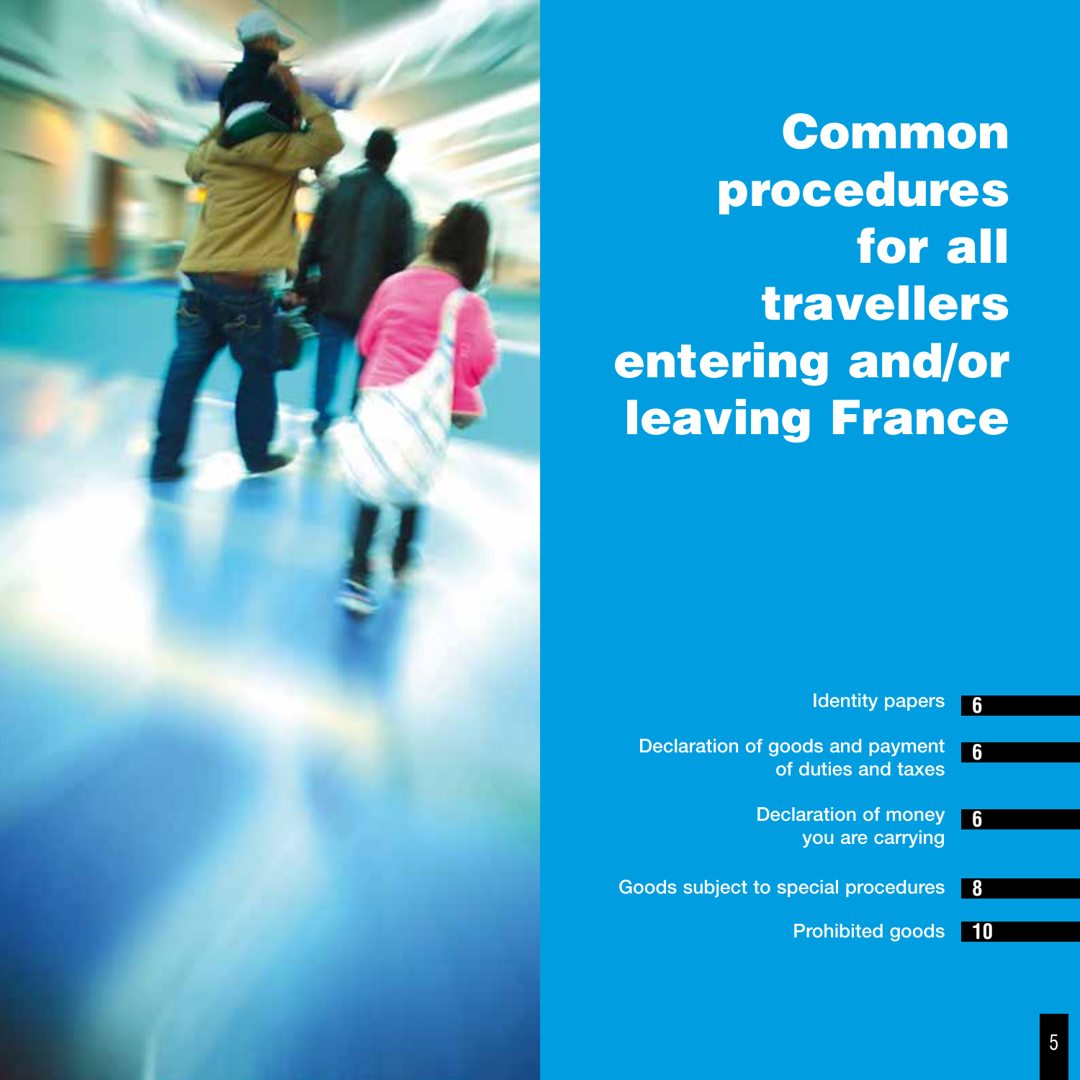

# Common procedures for all travellers entering and/or leaving France

| հ | <b>Identity papers</b>                                         |
|---|----------------------------------------------------------------|
| 6 | <b>Declaration of goods and payment</b><br>of duties and taxes |
| 6 | Declaration of money<br>you are carrying                       |
| 8 | <b>Goods subject to special procedures</b>                     |
|   | <b>Prohibited goods</b>                                        |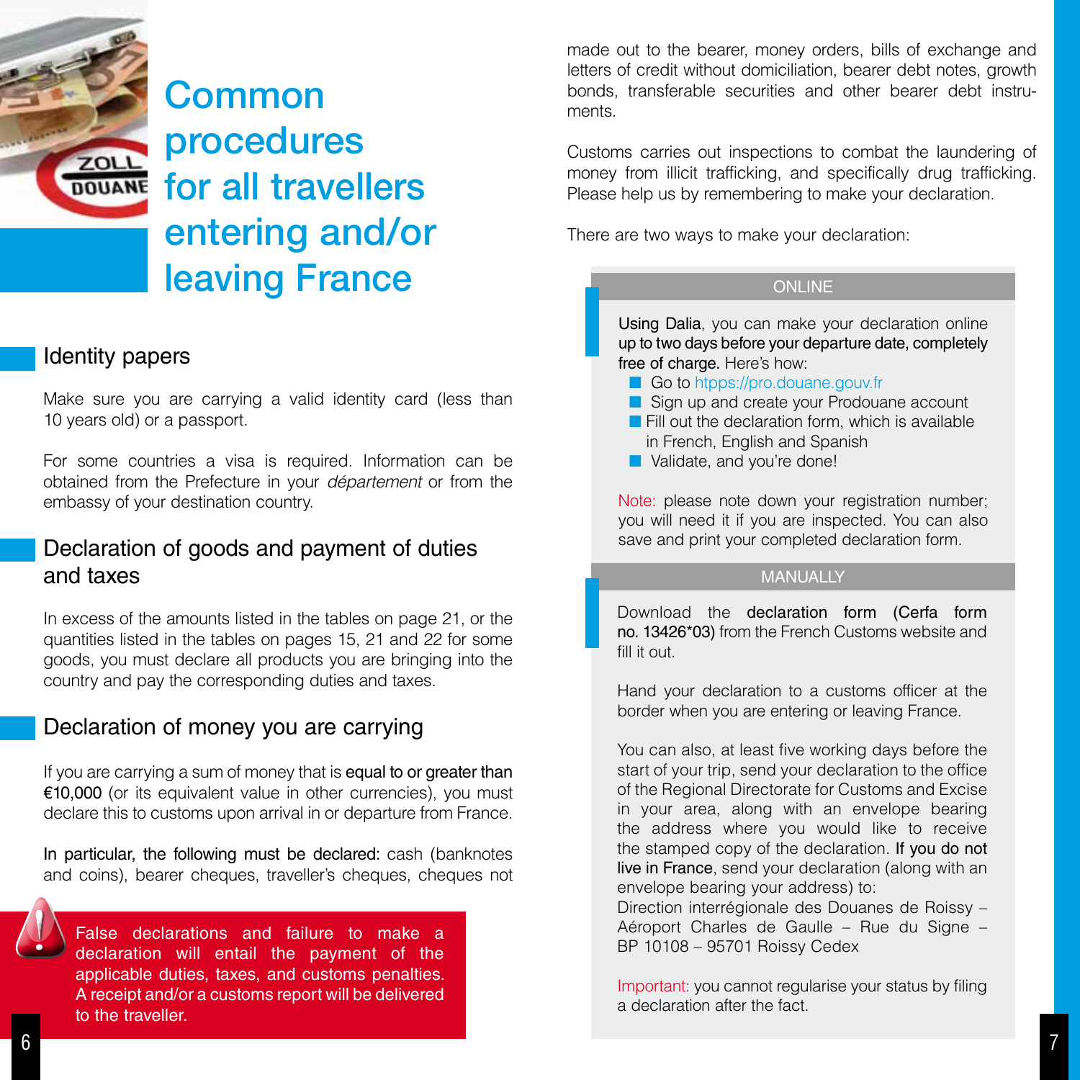

### Identity papers

Make sure you are carrying a valid identity card (less than 10 years old) or a passport.

For some countries a visa is required. Information can be obtained from the Prefecture in your *département* or from the embassy of your destination country.

### Declaration of goods and payment of duties and taxes

In excess of the amounts listed in the tables on page 21, or the quantities listed in the tables on pages 15, 21 and 22 for some goods, you must declare all products you are bringing into the country and pay the corresponding duties and taxes.

### Declaration of money you are carrying

If you are carrying a sum of money that is equal to or greater than €10,000 (or its equivalent value in other currencies), you must declare this to customs upon arrival in or departure from France.

In particular, the following must be declared: cash (banknotes and coins), bearer cheques, traveller's cheques, cheques not

False declarations and failure to make a declaration will entail the payment of the applicable duties, taxes, and customs penalties. A receipt and/or a customs report will be delivered to the traveller.

made out to the bearer, money orders, bills of exchange and letters of credit without domiciliation, bearer debt notes, growth bonds, transferable securities and other bearer debt instruments.

Customs carries out inspections to combat the laundering of money from illicit trafficking, and specifically drug trafficking. Please help us by remembering to make your declaration.

There are two ways to make your declaration:

#### **ONLINE**

Using Dalia, you can make your declaration online up to two days before your departure date, completely free of charge. Here's how:

- Go to htpps://pro.douane.gouv.fr
- sign up and create your Prodouane account  $\blacksquare$  Fill out the declaration form, which is available
- in French, English and Spanish
- **N** Validate, and you're done!

Note: please note down your registration number; you will need it if you are inspected. You can also save and print your completed declaration form.

#### MANUALLY

Download the declaration form (Cerfa form no. 13426\*03) from the French Customs website and fill it out.

Hand your declaration to a customs officer at the border when you are entering or leaving France.

You can also, at least five working days before the start of your trip, send your declaration to the office of the Regional Directorate for Customs and Excise in your area, along with an envelope bearing the address where you would like to receive the stamped copy of the declaration. If you do not live in France, send your declaration (along with an envelope bearing your address) to:

Direction interrégionale des Douanes de Roissy – Aéroport Charles de Gaulle – Rue du Signe – BP 10108 – 95701 Roissy Cedex

Important: you cannot regularise your status by filing a declaration after the fact.

!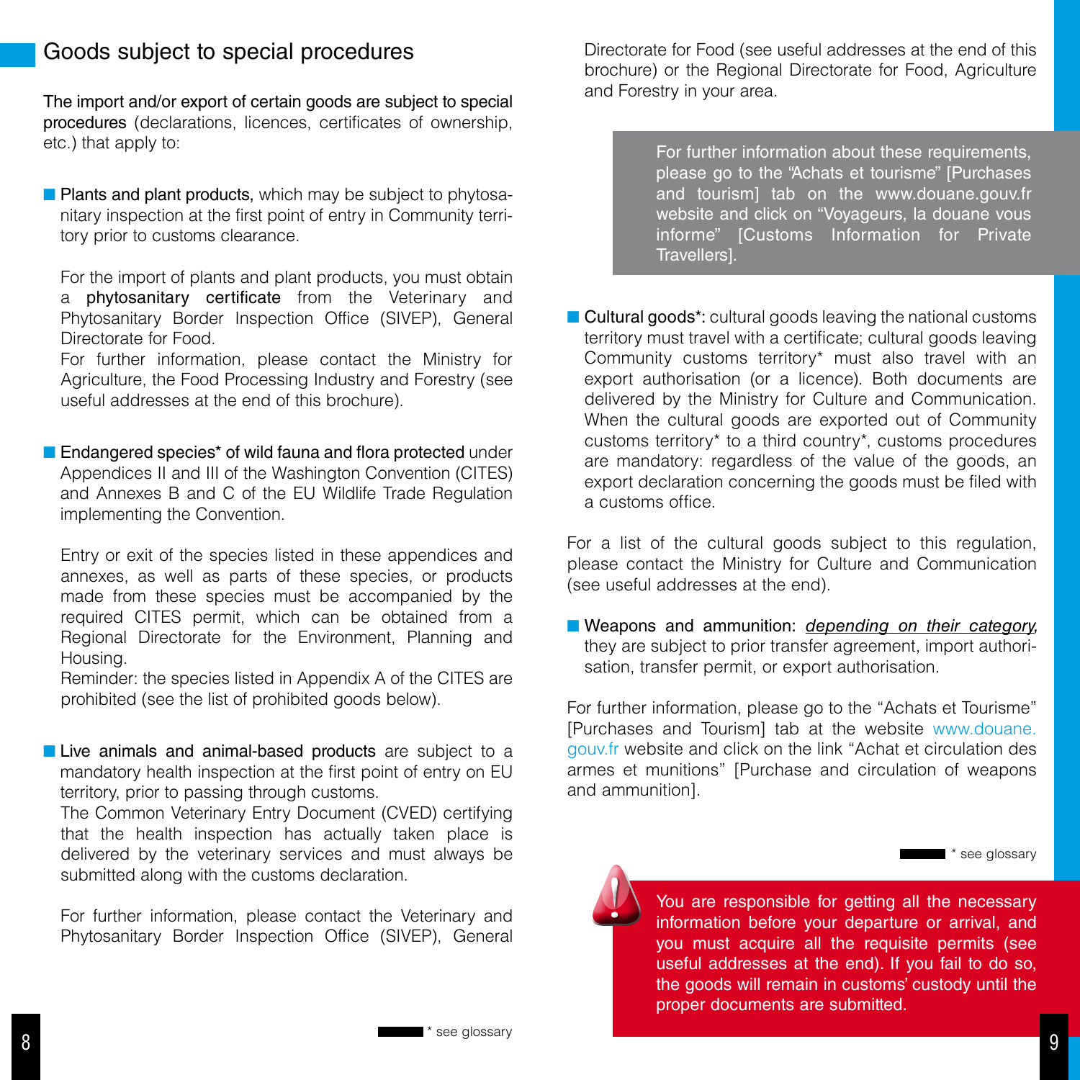## Goods subject to special procedures

The import and/or export of certain goods are subject to special procedures (declarations, licences, certificates of ownership, etc.) that apply to:

**Plants and plant products, which may be subject to phytosa**nitary inspection at the first point of entry in Community territory prior to customs clearance.

For the import of plants and plant products, you must obtain a phytosanitary certificate from the Veterinary and Phytosanitary Border Inspection Office (SIVEP), General Directorate for Food.

For further information, please contact the Ministry for Agriculture, the Food Processing Industry and Forestry (see useful addresses at the end of this brochure).

■ Endangered species<sup>\*</sup> of wild fauna and flora protected under Appendices II and III of the Washington Convention (CITES) and Annexes B and C of the EU Wildlife Trade Regulation implementing the Convention.

Entry or exit of the species listed in these appendices and annexes, as well as parts of these species, or products made from these species must be accompanied by the required CITES permit, which can be obtained from a Regional Directorate for the Environment, Planning and Housing.

Reminder: the species listed in Appendix A of the CITES are prohibited (see the list of prohibited goods below).

**Live animals and animal-based products** are subject to a mandatory health inspection at the first point of entry on EU territory, prior to passing through customs.

The Common Veterinary Entry Document (CVED) certifying that the health inspection has actually taken place is delivered by the veterinary services and must always be submitted along with the customs declaration.

For further information, please contact the Veterinary and Phytosanitary Border Inspection Office (SIVEP), General Directorate for Food (see useful addresses at the end of this brochure) or the Regional Directorate for Food, Agriculture and Forestry in your area.

> For further information about these requirements, please go to the "Achats et tourisme" [Purchases and tourism] tab on the www.douane.gouv.fr website and click on "Voyageurs, la douane vous informe" [Customs Information for Private Travellers].

■ Cultural goods\*: cultural goods leaving the national customs territory must travel with a certificate; cultural goods leaving Community customs territory\* must also travel with an export authorisation (or a licence). Both documents are delivered by the Ministry for Culture and Communication. When the cultural goods are exported out of Community customs territory\* to a third country\*, customs procedures are mandatory: regardless of the value of the goods, an export declaration concerning the goods must be filed with a customs office.

For a list of the cultural goods subject to this regulation, please contact the Ministry for Culture and Communication (see useful addresses at the end).

■ Weapons and ammunition: *depending on their category*, they are subject to prior transfer agreement, import authorisation, transfer permit, or export authorisation.

For further information, please go to the "Achats et Tourisme" [Purchases and Tourism] tab at the website www.douane. gouv.fr website and click on the link "Achat et circulation des armes et munitions" [Purchase and circulation of weapons and ammunition].

\* see glossary

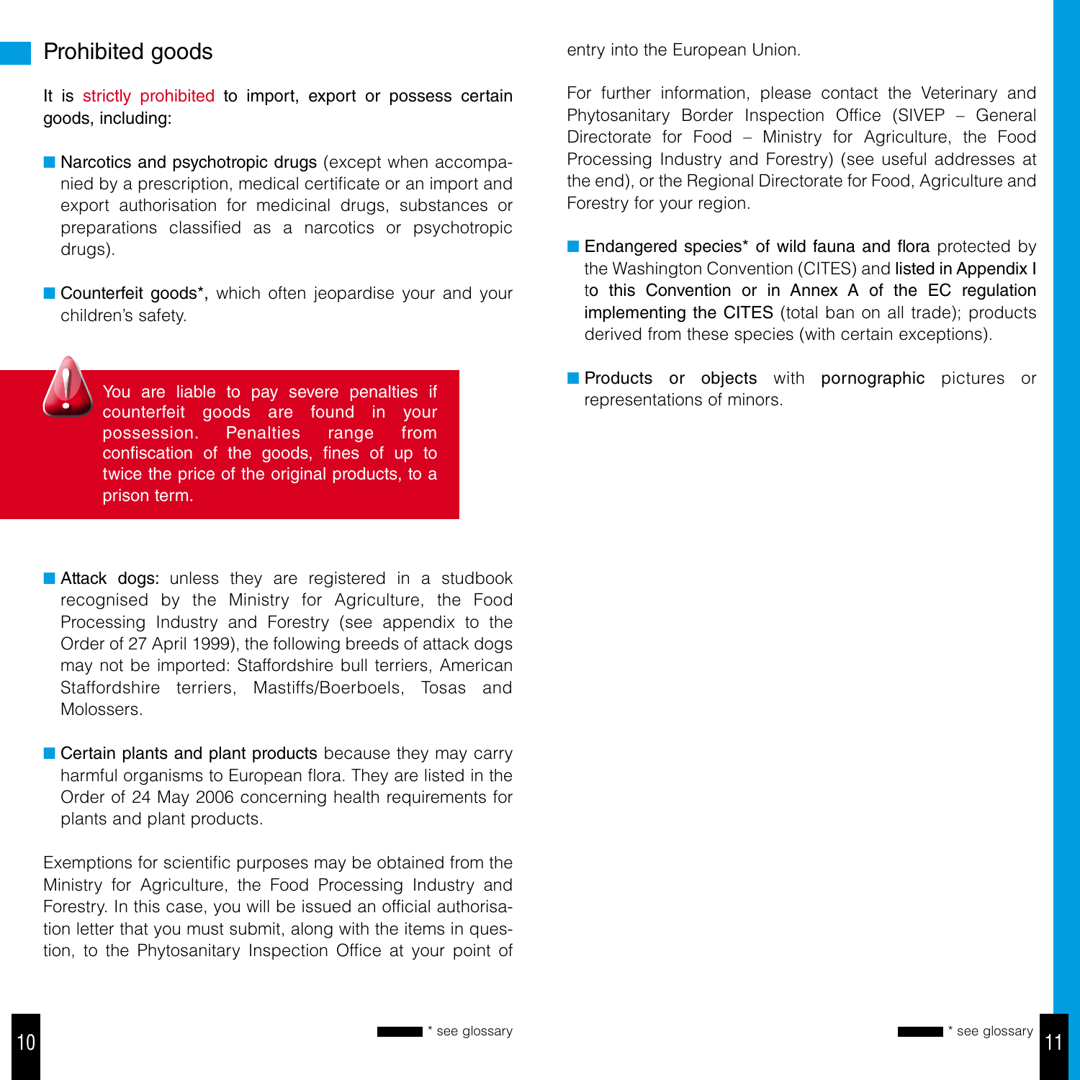## Prohibited goods

It is strictly prohibited to import, export or possess certain goods, including:

- **n** Narcotics and psychotropic drugs (except when accompanied by a prescription, medical certificate or an import and export authorisation for medicinal drugs, substances or preparations classified as a narcotics or psychotropic drugs).
- Counterfeit goods<sup>\*</sup>, which often jeopardise your and your children's safety.



You are liable to pay severe penalties if the contracts of objects when representations of minors. counterfeit goods are found in your possession. Penalties range from confiscation of the goods, fines of up to twice the price of the original products, to a prison term.

- **Attack dogs:** unless they are registered in a studbook recognised by the Ministry for Agriculture, the Food Processing Industry and Forestry (see appendix to the Order of 27 April 1999), the following breeds of attack dogs may not be imported: Staffordshire bull terriers, American Staffordshire terriers, Mastiffs/Boerboels, Tosas and Molossers.
- $\blacksquare$  Certain plants and plant products because they may carry harmful organisms to European flora. They are listed in the Order of 24 May 2006 concerning health requirements for plants and plant products.

Exemptions for scientific purposes may be obtained from the Ministry for Agriculture, the Food Processing Industry and Forestry. In this case, you will be issued an official authorisation letter that you must submit, along with the items in question, to the Phytosanitary Inspection Office at your point of entry into the European Union.

For further information, please contact the Veterinary and Phytosanitary Border Inspection Office (SIVEP – General Directorate for Food – Ministry for Agriculture, the Food Processing Industry and Forestry) (see useful addresses at the end), or the Regional Directorate for Food, Agriculture and Forestry for your region.

- $\blacksquare$  Endangered species\* of wild fauna and flora protected by the Washington Convention (CITES) and listed in Appendix I to this Convention or in Annex A of the EC regulation implementing the CITES (total ban on all trade); products derived from these species (with certain exceptions).
- **n** Products or objects with pornographic pictures or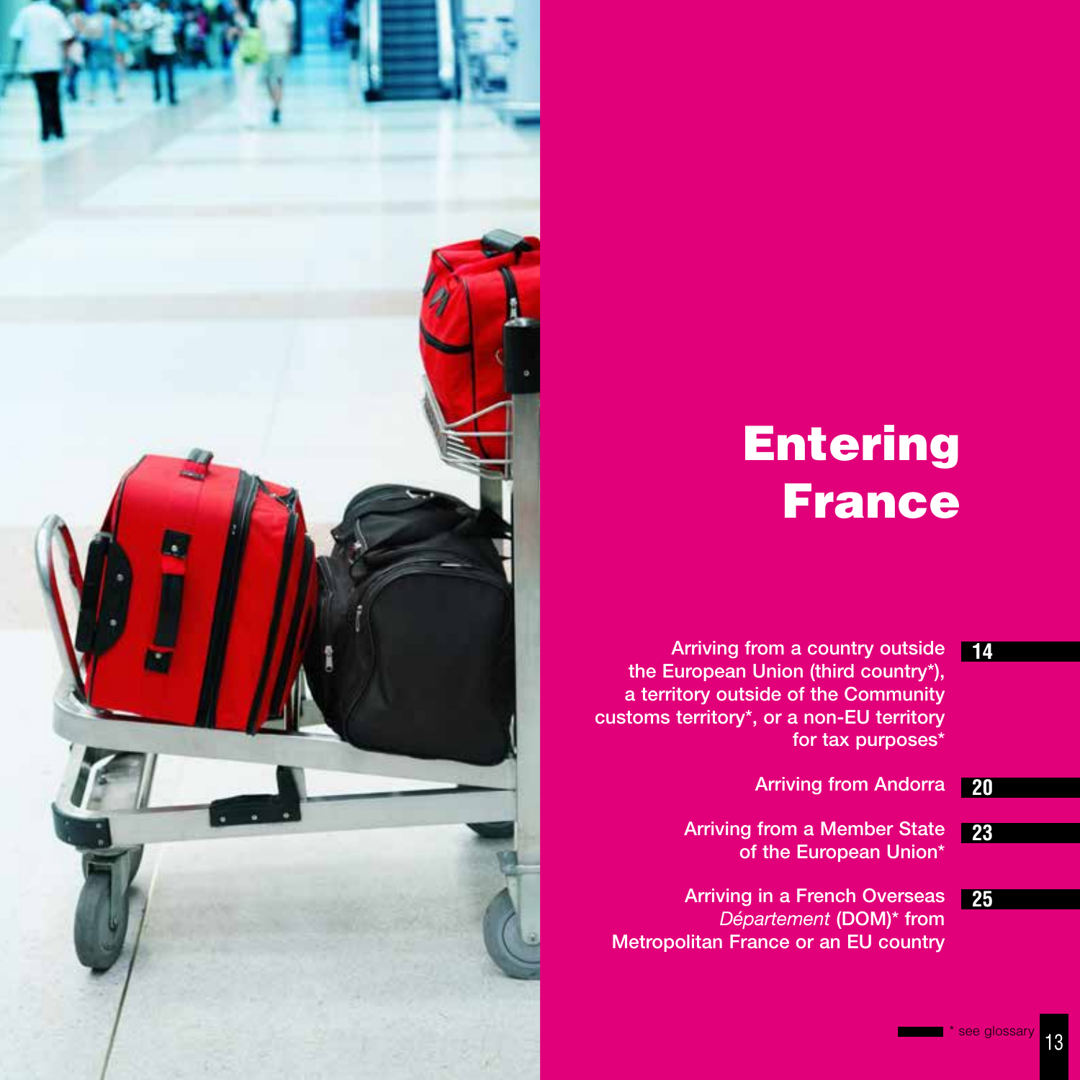# Entering France

- Arriving from a country outside **14** the European Union (third country\*), a territory outside of the Community customs territory\*, or a non-EU territory for tax purposes\*
	- Arriving from Andorra **20**
	- Arriving from a Member State of the European Union\* **23**
	- Arriving in a French Overseas *Département* (DOM)\* from Metropolitan France or an EU country **25**

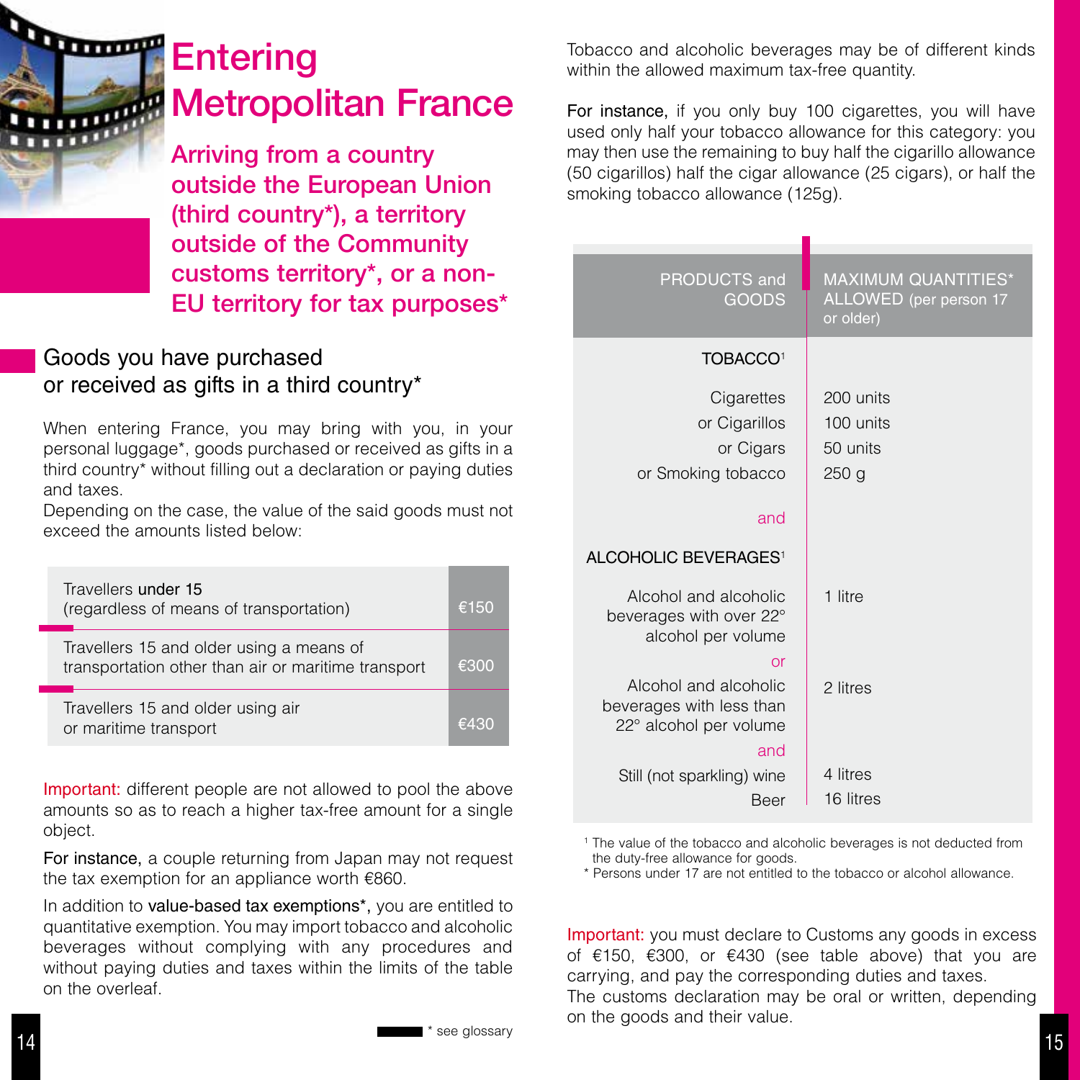

# **Entering** Metropolitan France

Arriving from a country outside the European Union (third country\*), a territory outside of the Community customs territory\*, or a non-EU territory for tax purposes\*

# Goods you have purchased or received as gifts in a third country\*

When entering France, you may bring with you, in your personal luggage\*, goods purchased or received as gifts in a third country\* without filling out a declaration or paying duties and taxes.

Depending on the case, the value of the said goods must not exceed the amounts listed below:

| Travellers under 15<br>(regardless of means of transportation)                                  | €150 |
|-------------------------------------------------------------------------------------------------|------|
| Travellers 15 and older using a means of<br>transportation other than air or maritime transport | €300 |
| Travellers 15 and older using air<br>or maritime transport                                      | 130≆ |

Important: different people are not allowed to pool the above amounts so as to reach a higher tax-free amount for a single object.

For instance, a couple returning from Japan may not request the tax exemption for an appliance worth €860.

In addition to value-based tax exemptions\*, you are entitled to quantitative exemption. You may import tobacco and alcoholic beverages without complying with any procedures and without paying duties and taxes within the limits of the table on the overleaf.

Tobacco and alcoholic beverages may be of different kinds within the allowed maximum tax-free quantity.

For instance, if you only buy 100 cigarettes, you will have used only half your tobacco allowance for this category: you may then use the remaining to buy half the cigarillo allowance (50 cigarillos) half the cigar allowance (25 cigars), or half the smoking tobacco allowance (125g).

| <b>PRODUCTS and</b><br>GOODS                                                             | <b>MAXIMUM QUANTITIES*</b><br>ALLOWED (per person 17<br>or older) |  |
|------------------------------------------------------------------------------------------|-------------------------------------------------------------------|--|
| TOBACCO <sup>1</sup>                                                                     |                                                                   |  |
| Cigarettes<br>or Cigarillos<br>or Cigars<br>or Smoking tobacco<br>and                    | 200 units<br>100 units<br>50 units<br>250 <sub>g</sub>            |  |
| ALCOHOLIC BEVERAGES <sup>1</sup>                                                         |                                                                   |  |
| Alcohol and alcoholic<br>beverages with over 22°<br>alcohol per volume                   | 1 litre                                                           |  |
| or<br>Alcohol and alcoholic<br>beverages with less than<br>22° alcohol per volume<br>and | 2 litres                                                          |  |
| Still (not sparkling) wine<br>Beer                                                       | 4 litres<br>16 litres                                             |  |

<sup>1</sup> The value of the tobacco and alcoholic beverages is not deducted from the duty-free allowance for goods.

\* Persons under 17 are not entitled to the tobacco or alcohol allowance.

Important: you must declare to Customs any goods in excess of €150, €300, or €430 (see table above) that you are carrying, and pay the corresponding duties and taxes.

The customs declaration may be oral or written, depending on the goods and their value.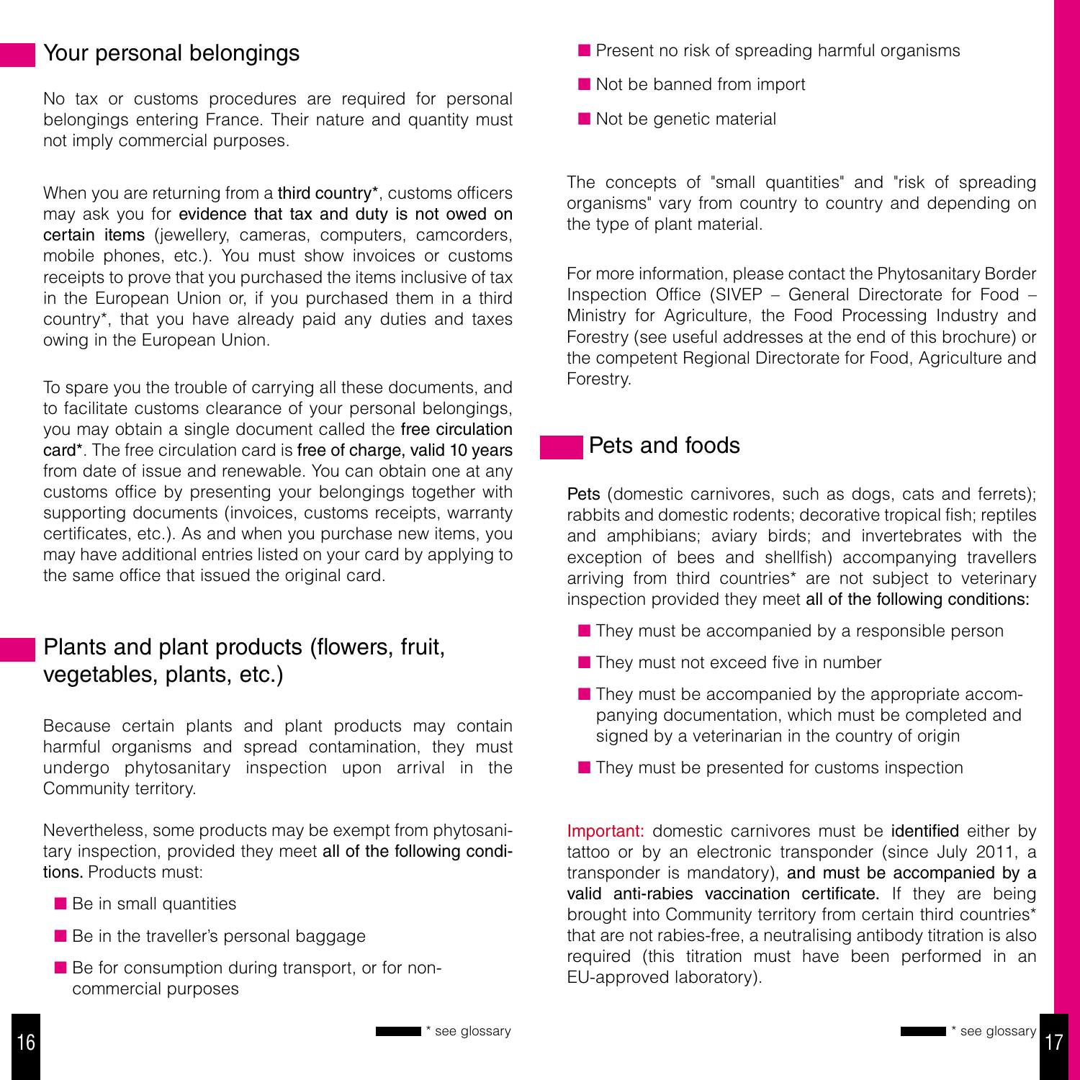## Your personal belongings

No tax or customs procedures are required for personal belongings entering France. Their nature and quantity must not imply commercial purposes.

When you are returning from a third country<sup>\*</sup>, customs officers may ask you for evidence that tax and duty is not owed on certain items (jewellery, cameras, computers, camcorders, mobile phones, etc.). You must show invoices or customs receipts to prove that you purchased the items inclusive of tax in the European Union or, if you purchased them in a third country\*, that you have already paid any duties and taxes owing in the European Union.

To spare you the trouble of carrying all these documents, and to facilitate customs clearance of your personal belongings, you may obtain a single document called the free circulation card\*. The free circulation card is free of charge, valid 10 years from date of issue and renewable. You can obtain one at any customs office by presenting your belongings together with supporting documents (invoices, customs receipts, warranty certificates, etc.). As and when you purchase new items, you may have additional entries listed on your card by applying to the same office that issued the original card.

# Plants and plant products (flowers, fruit, vegetables, plants, etc.)

Because certain plants and plant products may contain harmful organisms and spread contamination, they must undergo phytosanitary inspection upon arrival in the Community territory.

Nevertheless, some products may be exempt from phytosanitary inspection, provided they meet all of the following conditions. Products must:

- $\blacksquare$  Be in small quantities
- **Be in the traveller's personal baggage**
- Be for consumption during transport, or for noncommercial purposes
- $\blacksquare$  Present no risk of spreading harmful organisms
- $\blacksquare$  Not be banned from import
- $\blacksquare$  Not be genetic material

The concepts of "small quantities" and "risk of spreading organisms" vary from country to country and depending on the type of plant material.

For more information, please contact the Phytosanitary Border Inspection Office (SIVEP – General Directorate for Food – Ministry for Agriculture, the Food Processing Industry and Forestry (see useful addresses at the end of this brochure) or the competent Regional Directorate for Food, Agriculture and Forestry.

### Pets and foods

Pets (domestic carnivores, such as dogs, cats and ferrets); rabbits and domestic rodents; decorative tropical fish; reptiles and amphibians; aviary birds; and invertebrates with the exception of bees and shellfish) accompanying travellers arriving from third countries\* are not subject to veterinary inspection provided they meet all of the following conditions:

- $\blacksquare$  They must be accompanied by a responsible person
- $\blacksquare$  They must not exceed five in number
- $\blacksquare$  They must be accompanied by the appropriate accompanying documentation, which must be completed and signed by a veterinarian in the country of origin
- $\blacksquare$  They must be presented for customs inspection

Important: domestic carnivores must be identified either by tattoo or by an electronic transponder (since July 2011, a transponder is mandatory), and must be accompanied by a valid anti-rabies vaccination certificate. If they are being brought into Community territory from certain third countries\* that are not rabies-free, a neutralising antibody titration is also required (this titration must have been performed in an EU-approved laboratory).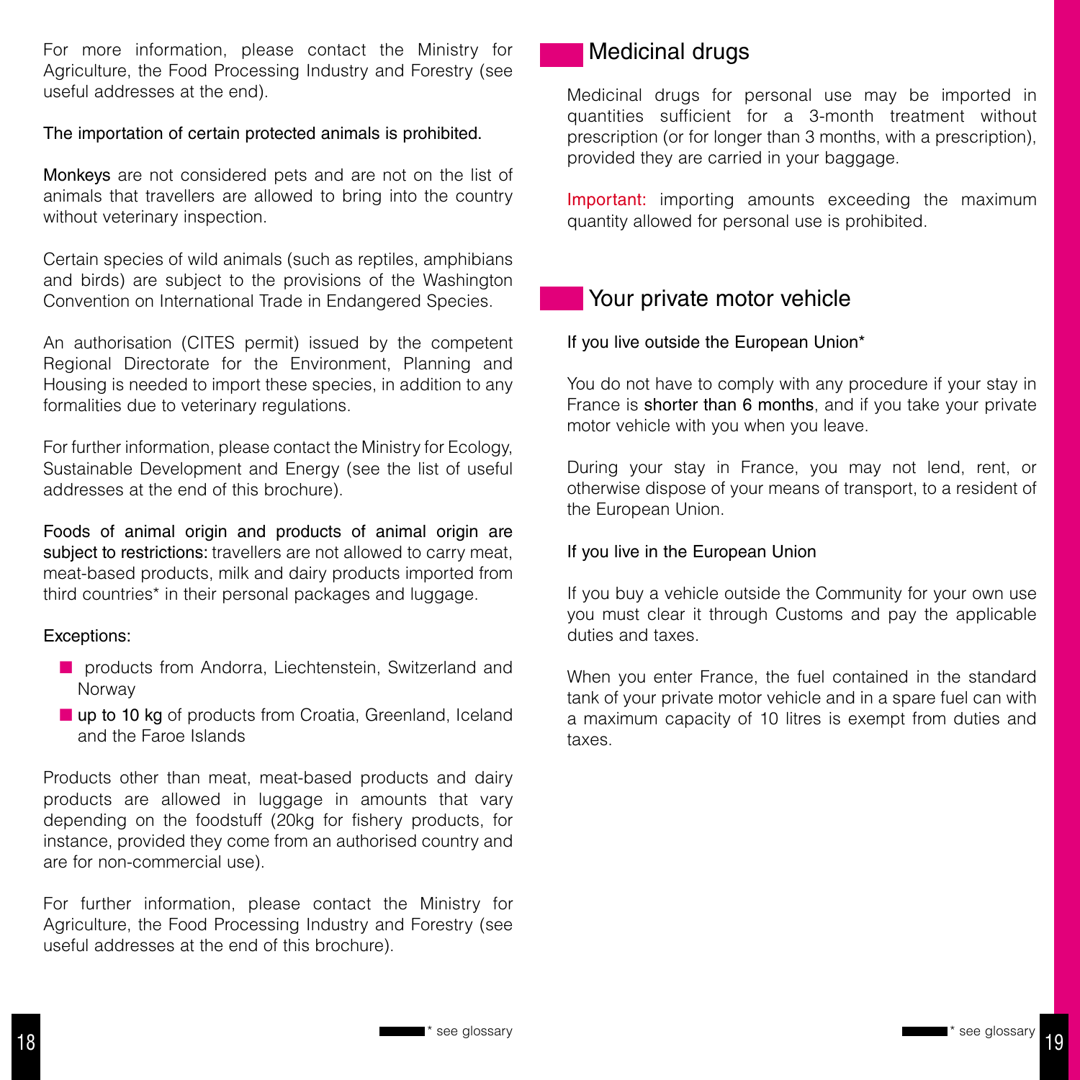For more information, please contact the Ministry for Agriculture, the Food Processing Industry and Forestry (see useful addresses at the end).

The importation of certain protected animals is prohibited.

Monkeys are not considered pets and are not on the list of animals that travellers are allowed to bring into the country without veterinary inspection.

Certain species of wild animals (such as reptiles, amphibians and birds) are subject to the provisions of the Washington Convention on International Trade in Endangered Species.

An authorisation (CITES permit) issued by the competent Regional Directorate for the Environment, Planning and Housing is needed to import these species, in addition to any formalities due to veterinary regulations.

For further information, please contact the Ministry for Ecology, Sustainable Development and Energy (see the list of useful addresses at the end of this brochure).

Foods of animal origin and products of animal origin are subject to restrictions: travellers are not allowed to carry meat. meat-based products, milk and dairy products imported from third countries\* in their personal packages and luggage.

#### Exceptions:

- n products from Andorra, Liechtenstein, Switzerland and Norway
- up to 10 kg of products from Croatia, Greenland, Iceland and the Faroe Islands

Products other than meat, meat-based products and dairy products are allowed in luggage in amounts that vary depending on the foodstuff (20kg for fishery products, for instance, provided they come from an authorised country and are for non-commercial use).

For further information, please contact the Ministry for Agriculture, the Food Processing Industry and Forestry (see useful addresses at the end of this brochure).

## Medicinal drugs

Medicinal drugs for personal use may be imported in quantities sufficient for a 3-month treatment without prescription (or for longer than 3 months, with a prescription), provided they are carried in your baggage.

Important: importing amounts exceeding the maximum quantity allowed for personal use is prohibited.

## Your private motor vehicle

If you live outside the European Union\*

You do not have to comply with any procedure if your stay in France is shorter than 6 months, and if you take your private motor vehicle with you when you leave.

During your stay in France, you may not lend, rent, or otherwise dispose of your means of transport, to a resident of the European Union.

#### If you live in the European Union

If you buy a vehicle outside the Community for your own use you must clear it through Customs and pay the applicable duties and taxes.

When you enter France, the fuel contained in the standard tank of your private motor vehicle and in a spare fuel can with a maximum capacity of 10 litres is exempt from duties and taxes.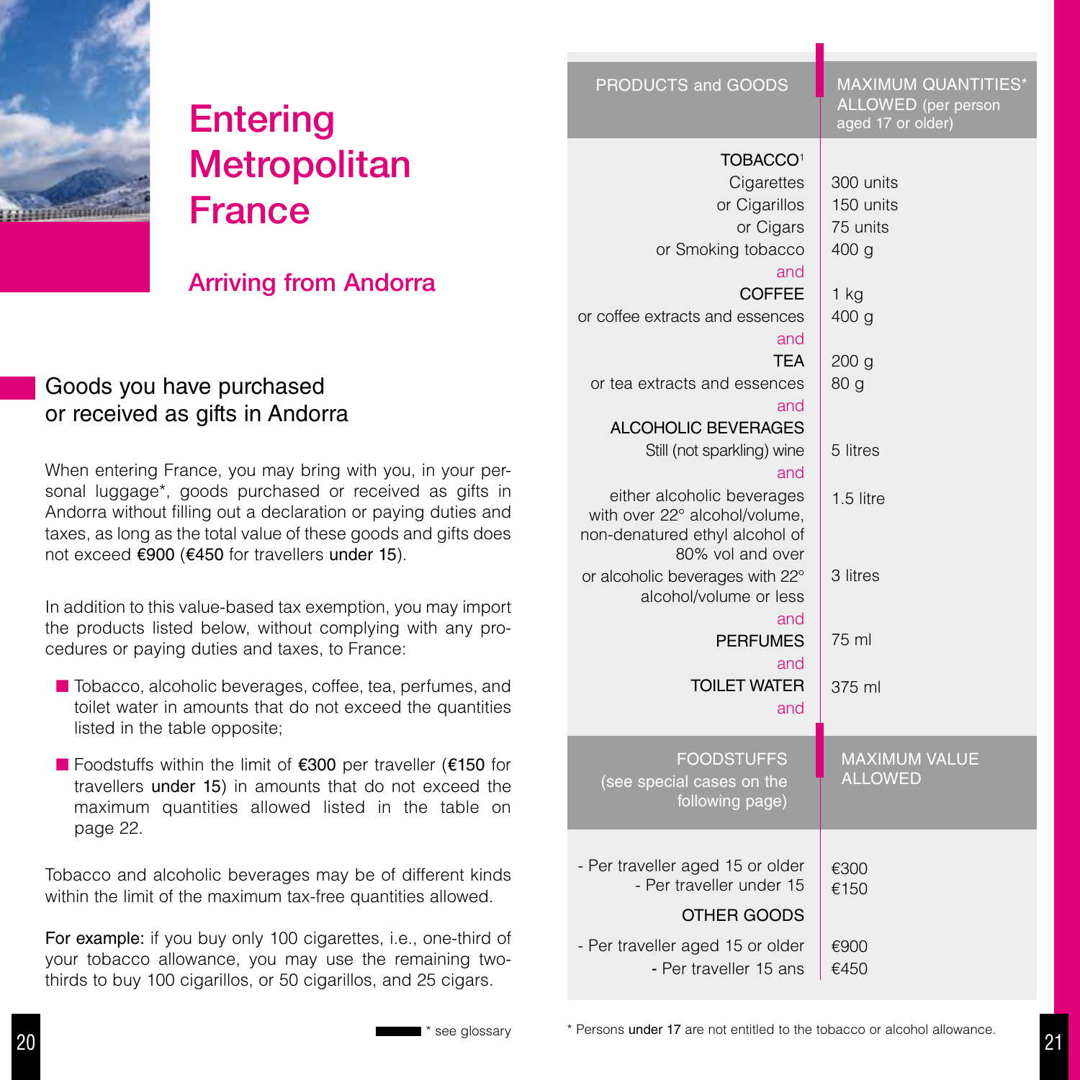

# Entering **Metropolitan** France

# Arriving from Andorra

# Goods you have purchased or received as gifts in Andorra

When entering France, you may bring with you, in your personal luggage\*, goods purchased or received as gifts in Andorra without filling out a declaration or paying duties and taxes, as long as the total value of these goods and gifts does not exceed €900 (€450 for travellers under 15).

In addition to this value-based tax exemption, you may import the products listed below, without complying with any procedures or paying duties and taxes, to France:

- $\blacksquare$  Tobacco, alcoholic beverages, coffee, tea, perfumes, and toilet water in amounts that do not exceed the quantities listed in the table opposite;
- n Foodstuffs within the limit of €300 per traveller (€150 for travellers under 15) in amounts that do not exceed the maximum quantities allowed listed in the table on page 22.

Tobacco and alcoholic beverages may be of different kinds within the limit of the maximum tax-free quantities allowed.

For example: if you buy only 100 cigarettes, i.e., one-third of your tobacco allowance, you may use the remaining twothirds to buy 100 cigarillos, or 50 cigarillos, and 25 cigars.

| PRODUCTS and GOODS                                        | <b>MAXIMUM QUANTITIES*</b><br>ALLOWED (per person<br>aged 17 or older) |  |
|-----------------------------------------------------------|------------------------------------------------------------------------|--|
| <b>TOBACCO1</b>                                           |                                                                        |  |
| Cigarettes                                                | 300 units                                                              |  |
| or Cigarillos                                             | 150 units                                                              |  |
| or Cigars                                                 |                                                                        |  |
|                                                           | 75 units                                                               |  |
| or Smoking tobacco                                        | 400 <sub>g</sub>                                                       |  |
| and                                                       |                                                                        |  |
| <b>COFFEE</b>                                             | 1 kg                                                                   |  |
| or coffee extracts and essences                           | 400 <sub>g</sub>                                                       |  |
| and                                                       |                                                                        |  |
| <b>TFA</b>                                                | 200 g                                                                  |  |
| or tea extracts and essences                              | 80 <sub>q</sub>                                                        |  |
| and                                                       |                                                                        |  |
| <b>ALCOHOLIC BEVERAGES</b>                                |                                                                        |  |
| Still (not sparkling) wine                                | 5 litres                                                               |  |
| and                                                       |                                                                        |  |
| either alcoholic beverages                                | $1.5$ litre                                                            |  |
| with over 22° alcohol/volume,                             |                                                                        |  |
| non-denatured ethyl alcohol of                            |                                                                        |  |
| 80% vol and over                                          |                                                                        |  |
| or alcoholic beverages with 22°<br>alcohol/volume or less | 3 litres                                                               |  |
|                                                           |                                                                        |  |
| and                                                       | 75 ml                                                                  |  |
| <b>PERFUMES</b>                                           |                                                                        |  |
| and                                                       |                                                                        |  |
| <b>TOILET WATER</b>                                       | 375 ml                                                                 |  |
| and                                                       |                                                                        |  |
|                                                           |                                                                        |  |
| <b>FOODSTUFFS</b>                                         | <b>MAXIMUM VALUE</b>                                                   |  |
| (see special cases on the                                 | <b>ALLOWED</b>                                                         |  |
| following page)                                           |                                                                        |  |
|                                                           |                                                                        |  |
| - Per traveller aged 15 or older                          | €300                                                                   |  |
| - Per traveller under 15                                  | €150                                                                   |  |
| OTHER GOODS                                               |                                                                        |  |
|                                                           |                                                                        |  |
| - Per traveller aged 15 or older                          | €900                                                                   |  |
| - Per traveller 15 ans                                    | €450                                                                   |  |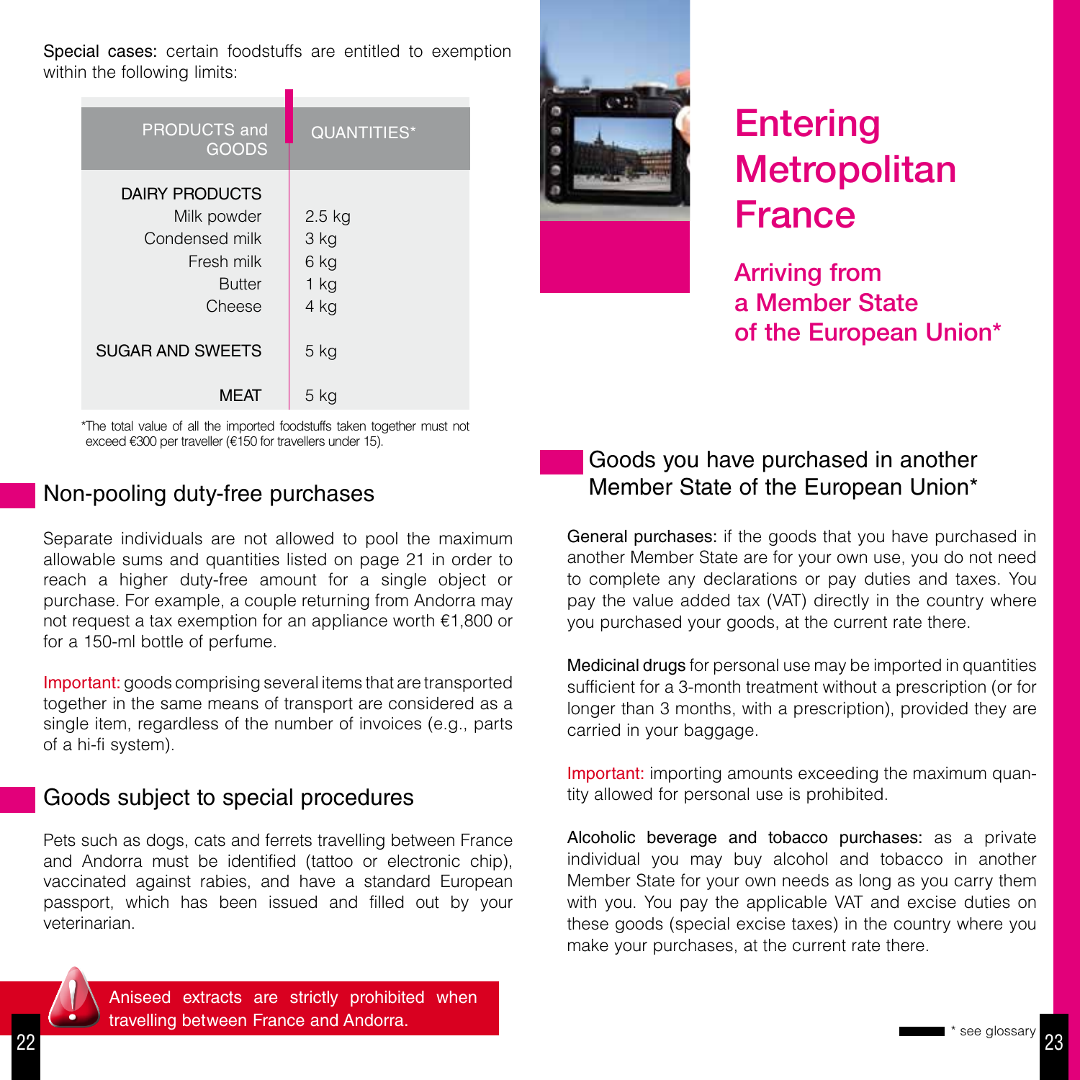Special cases: certain foodstuffs are entitled to exemption within the following limits:

| <b>PRODUCTS and</b><br><b>GOODS</b>                                                             | <b>QUANTITIES*</b>                         |
|-------------------------------------------------------------------------------------------------|--------------------------------------------|
| <b>DAIRY PRODUCTS</b><br>Milk powder<br>Condensed milk<br>Fresh milk<br><b>Butter</b><br>Cheese | $2.5$ kg<br>3 kg<br>6 kg<br>$1$ kg<br>4 kg |
| <b>SUGAR AND SWEETS</b>                                                                         | $5$ kg                                     |
| <b>MFAT</b>                                                                                     | 5 kg                                       |



# Entering **Metropolitan** France

Arriving from a Member State of the European Union\*

\*The total value of all the imported foodstuffs taken together must not exceed €300 per traveller (€150 for travellers under 15).

## Non-pooling duty-free purchases

Separate individuals are not allowed to pool the maximum allowable sums and quantities listed on page 21 in order to reach a higher duty-free amount for a single object or purchase. For example, a couple returning from Andorra may not request a tax exemption for an appliance worth €1,800 or for a 150-ml bottle of perfume.

Important: goods comprising several items that are transported together in the same means of transport are considered as a single item, regardless of the number of invoices (e.g., parts of a hi-fi system).

# Goods subject to special procedures

Pets such as dogs, cats and ferrets travelling between France and Andorra must be identified (tattoo or electronic chip), vaccinated against rabies, and have a standard European passport, which has been issued and filled out by your veterinarian.

# Goods you have purchased in another Member State of the European Union\*

General purchases: if the goods that you have purchased in another Member State are for your own use, you do not need to complete any declarations or pay duties and taxes. You pay the value added tax (VAT) directly in the country where you purchased your goods, at the current rate there.

Medicinal drugs for personal use may be imported in quantities sufficient for a 3-month treatment without a prescription (or for longer than 3 months, with a prescription), provided they are carried in your baggage.

Important: importing amounts exceeding the maximum quantity allowed for personal use is prohibited.

Alcoholic beverage and tobacco purchases: as a private individual you may buy alcohol and tobacco in another Member State for your own needs as long as you carry them with you. You pay the applicable VAT and excise duties on these goods (special excise taxes) in the country where you make your purchases, at the current rate there.



Aniseed extracts are strictly prohibited when<br>travelling between France and Andorra.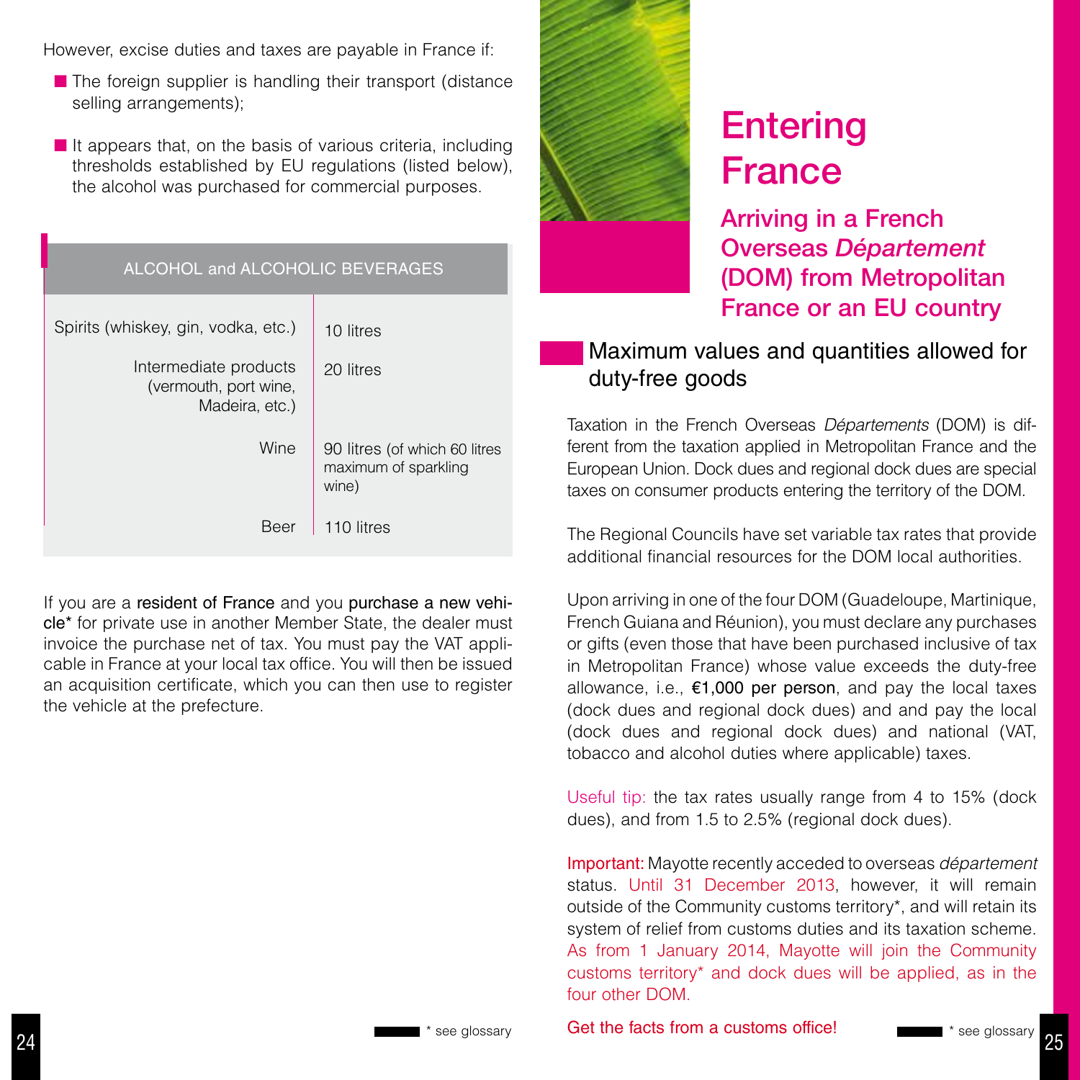However, excise duties and taxes are payable in France if:

- $\blacksquare$  The foreign supplier is handling their transport (distance selling arrangements);
- $\blacksquare$  It appears that, on the basis of various criteria, including thresholds established by EU regulations (listed below), the alcohol was purchased for commercial purposes.

| ALCOHOL and ALCOHOLIC BEVERAGES                                  |                                                                |  |  |
|------------------------------------------------------------------|----------------------------------------------------------------|--|--|
| Spirits (whiskey, gin, vodka, etc.)                              | 10 litres                                                      |  |  |
| Intermediate products<br>(vermouth, port wine,<br>Madeira, etc.) | 20 litres                                                      |  |  |
| Wine                                                             | 90 litres (of which 60 litres<br>maximum of sparkling<br>wine) |  |  |
| Beer                                                             | 110 litres                                                     |  |  |

If you are a resident of France and you purchase a new vehicle\* for private use in another Member State, the dealer must invoice the purchase net of tax. You must pay the VAT applicable in France at your local tax office. You will then be issued an acquisition certificate, which you can then use to register the vehicle at the prefecture.



# Entering France

Arriving in a French Overseas *Département* (DOM) from Metropolitan France or an EU country

# Maximum values and quantities allowed for duty-free goods

Taxation in the French Overseas *Départements* (DOM) is different from the taxation applied in Metropolitan France and the European Union. Dock dues and regional dock dues are special taxes on consumer products entering the territory of the DOM.

The Regional Councils have set variable tax rates that provide additional financial resources for the DOM local authorities.

Upon arriving in one of the four DOM (Guadeloupe, Martinique, French Guiana and Réunion), you must declare any purchases or gifts (even those that have been purchased inclusive of tax in Metropolitan France) whose value exceeds the duty-free allowance, i.e.,  $\epsilon$ 1,000 per person, and pay the local taxes (dock dues and regional dock dues) and and pay the local (dock dues and regional dock dues) and national (VAT, tobacco and alcohol duties where applicable) taxes.

Useful tip: the tax rates usually range from 4 to 15% (dock dues), and from 1.5 to 2.5% (regional dock dues).

Important: Mayotte recently acceded to overseas *département*  status. Until 31 December 2013, however, it will remain outside of the Community customs territory\*, and will retain its system of relief from customs duties and its taxation scheme. As from 1 January 2014, Mayotte will join the Community customs territory\* and dock dues will be applied, as in the four other DOM.

\* see glossary **Get the facts from a customs office!** The see glossary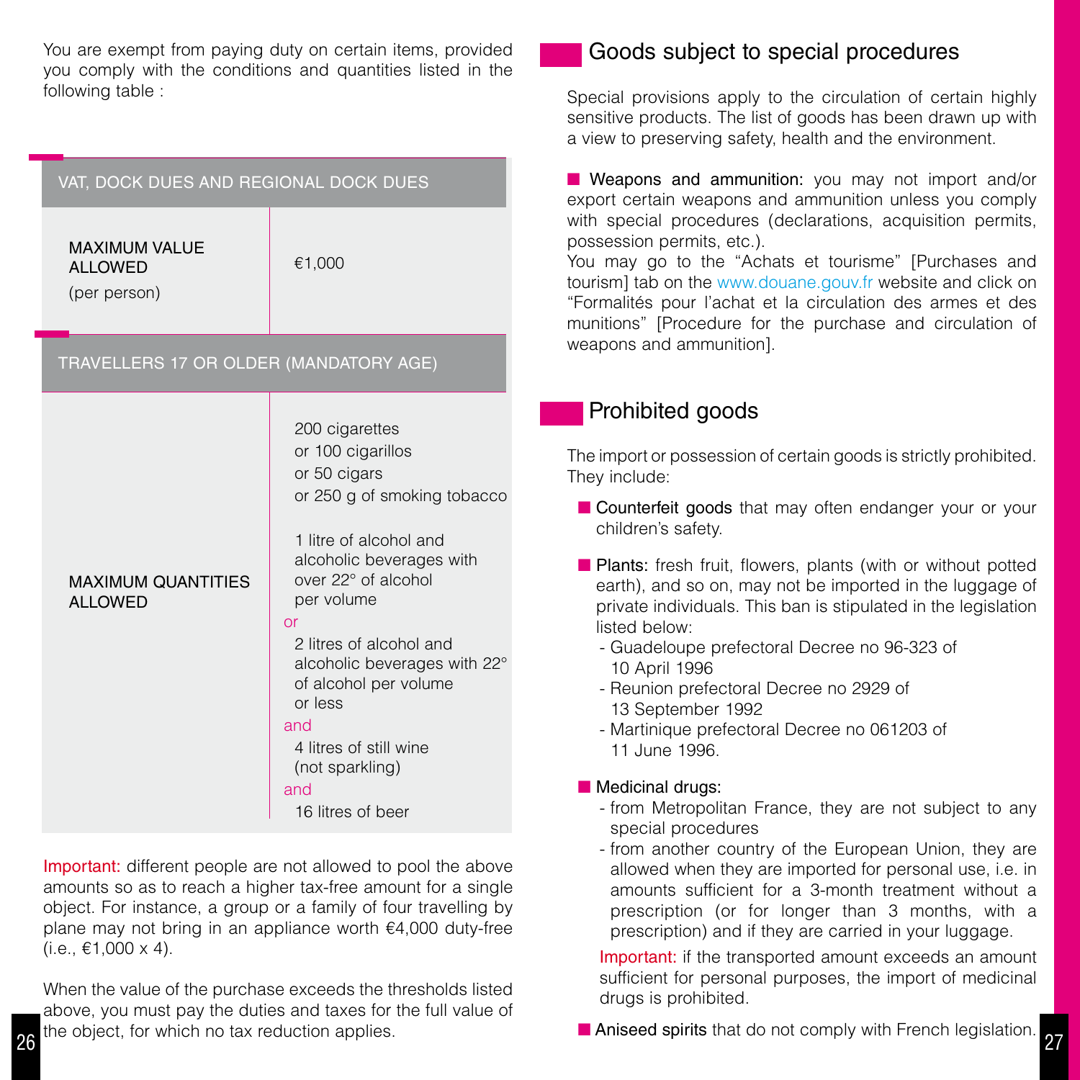You are exempt from paying duty on certain items, provided you comply with the conditions and quantities listed in the following table :

| VAT, DOCK DUES AND REGIONAL DOCK DUES                  |                                                                                                                                                                                                                                                                                                                                                                    |  |  |
|--------------------------------------------------------|--------------------------------------------------------------------------------------------------------------------------------------------------------------------------------------------------------------------------------------------------------------------------------------------------------------------------------------------------------------------|--|--|
| <b>MAXIMUM VALUE</b><br><b>ALLOWED</b><br>(per person) | €1,000                                                                                                                                                                                                                                                                                                                                                             |  |  |
| TRAVELLERS 17 OR OLDER (MANDATORY AGE)                 |                                                                                                                                                                                                                                                                                                                                                                    |  |  |
| <b>MAXIMUM QUANTITIES</b><br><b>ALLOWED</b>            | 200 cigarettes<br>or 100 cigarillos<br>or 50 cigars<br>or 250 g of smoking tobacco<br>1 litre of alcohol and<br>alcoholic beverages with<br>over 22° of alcohol<br>per volume<br>or<br>2 litres of alcohol and<br>alcoholic beverages with 22°<br>of alcohol per volume<br>or less<br>and<br>4 litres of still wine<br>(not sparkling)<br>and<br>16 litres of beer |  |  |

Important: different people are not allowed to pool the above amounts so as to reach a higher tax-free amount for a single object. For instance, a group or a family of four travelling by plane may not bring in an appliance worth €4,000 duty-free  $(i.e., €1,000 x 4).$ 

26 27 When the value of the purchase exceeds the thresholds listed above, you must pay the duties and taxes for the full value of the object, for which no tax reduction applies.

# Goods subject to special procedures

Special provisions apply to the circulation of certain highly sensitive products. The list of goods has been drawn up with a view to preserving safety, health and the environment.

**n** Weapons and ammunition: you may not import and/or export certain weapons and ammunition unless you comply with special procedures (declarations, acquisition permits, possession permits, etc.).

You may go to the "Achats et tourisme" [Purchases and tourism] tab on the www.douane.gouv.fr website and click on "Formalités pour l'achat et la circulation des armes et des munitions" [Procedure for the purchase and circulation of weapons and ammunition].

# Prohibited goods

The import or possession of certain goods is strictly prohibited. They include:

- **n** Counterfeit goods that may often endanger your or your children's safety.
- $\blacksquare$  Plants: fresh fruit, flowers, plants (with or without potted earth), and so on, may not be imported in the luggage of private individuals. This ban is stipulated in the legislation listed below:
	- Guadeloupe prefectoral Decree no 96-323 of 10 April 1996
	- Reunion prefectoral Decree no 2929 of 13 September 1992
	- Martinique prefectoral Decree no 061203 of 11 June 1996.

#### $\blacksquare$  Medicinal drugs:

- from Metropolitan France, they are not subject to any special procedures
- from another country of the European Union, they are allowed when they are imported for personal use, i.e. in amounts sufficient for a 3-month treatment without a prescription (or for longer than 3 months, with a prescription) and if they are carried in your luggage.

Important: if the transported amount exceeds an amount sufficient for personal purposes, the import of medicinal drugs is prohibited.

**n Aniseed spirits** that do not comply with French legislation.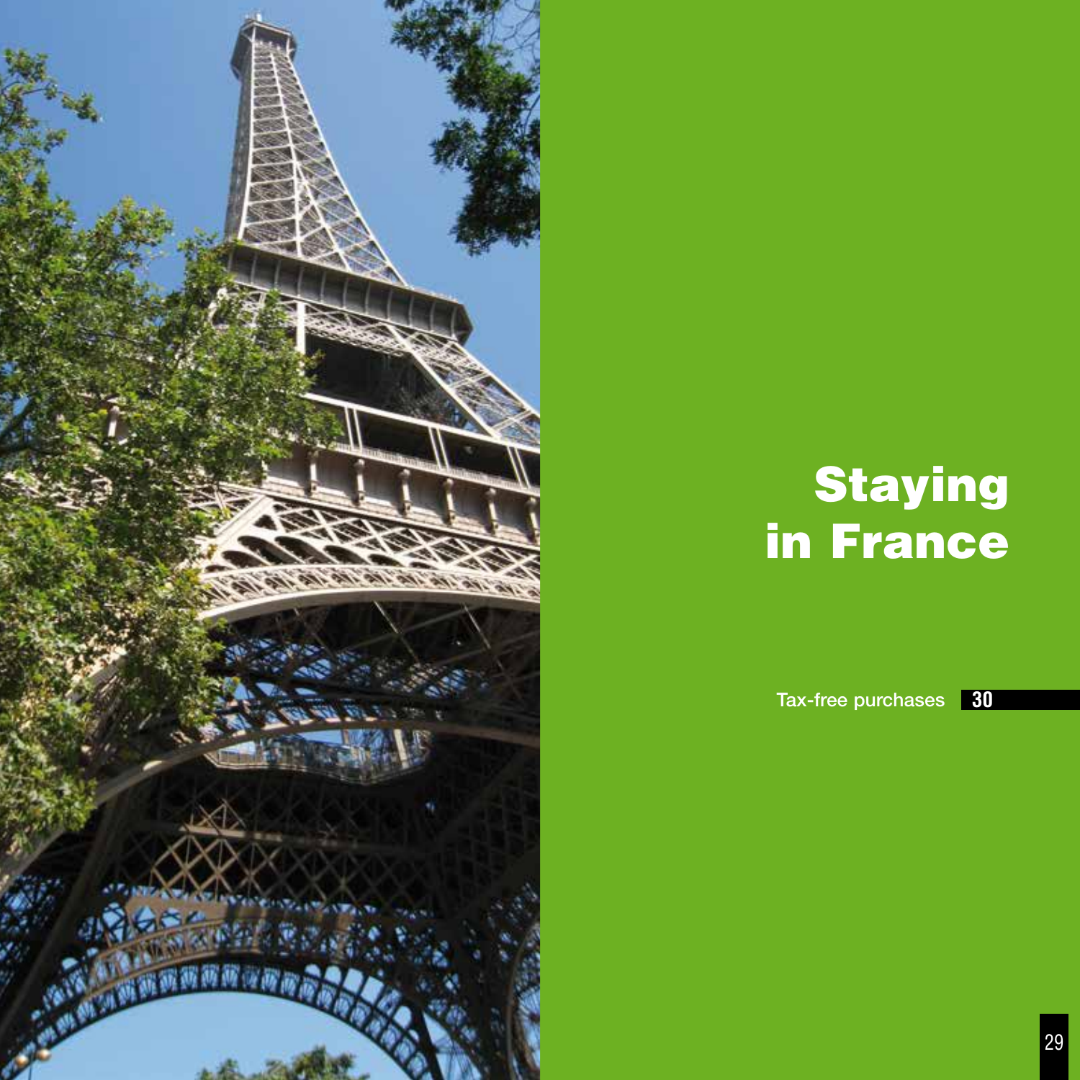

# **Staying** in France

Tax-free purchases **30**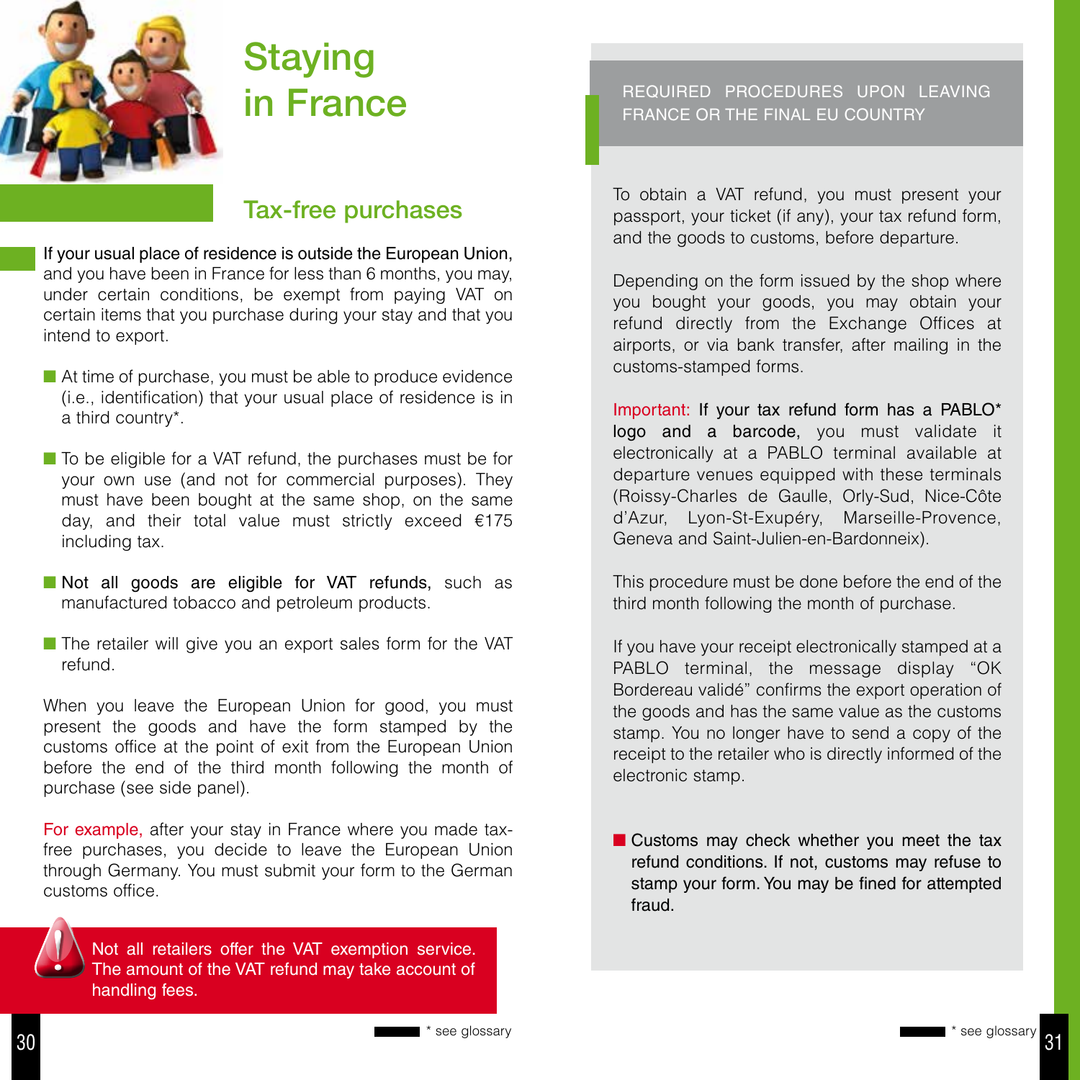

# **Staying** in France

# Tax-free purchases

If your usual place of residence is outside the European Union, and you have been in France for less than 6 months, you may, under certain conditions, be exempt from paying VAT on certain items that you purchase during your stay and that you intend to export.

- $\blacksquare$  At time of purchase, you must be able to produce evidence (i.e., identification) that your usual place of residence is in a third country\*.
- To be eligible for a VAT refund, the purchases must be for your own use (and not for commercial purposes). They must have been bought at the same shop, on the same day, and their total value must strictly exceed €175 including tax.
- Not all goods are eligible for VAT refunds, such as manufactured tobacco and petroleum products.
- $\blacksquare$  The retailer will give you an export sales form for the VAT refund.

When you leave the European Union for good, you must present the goods and have the form stamped by the customs office at the point of exit from the European Union before the end of the third month following the month of purchase (see side panel).

For example, after your stay in France where you made taxfree purchases, you decide to leave the European Union through Germany. You must submit your form to the German customs office.



Not all retailers offer the VAT exemption service. The amount of the VAT refund may take account of handling fees.

#### REQUIRED PROCEDURES UPON LEAVING FRANCE OR THE FINAL EU COUNTRY

To obtain a VAT refund, you must present your passport, your ticket (if any), your tax refund form, and the goods to customs, before departure.

Depending on the form issued by the shop where you bought your goods, you may obtain your refund directly from the Exchange Offices at airports, or via bank transfer, after mailing in the customs-stamped forms.

Important: If your tax refund form has a PABLO\* logo and a barcode, you must validate it electronically at a PABLO terminal available at departure venues equipped with these terminals (Roissy-Charles de Gaulle, Orly-Sud, Nice-Côte d'Azur, Lyon-St-Exupéry, Marseille-Provence, Geneva and Saint-Julien-en-Bardonneix).

This procedure must be done before the end of the third month following the month of purchase.

If you have your receipt electronically stamped at a PABLO terminal, the message display "OK Bordereau validé" confirms the export operation of the goods and has the same value as the customs stamp. You no longer have to send a copy of the receipt to the retailer who is directly informed of the electronic stamp.

 $\blacksquare$  Customs may check whether you meet the tax refund conditions. If not, customs may refuse to stamp your form. You may be fined for attempted fraud.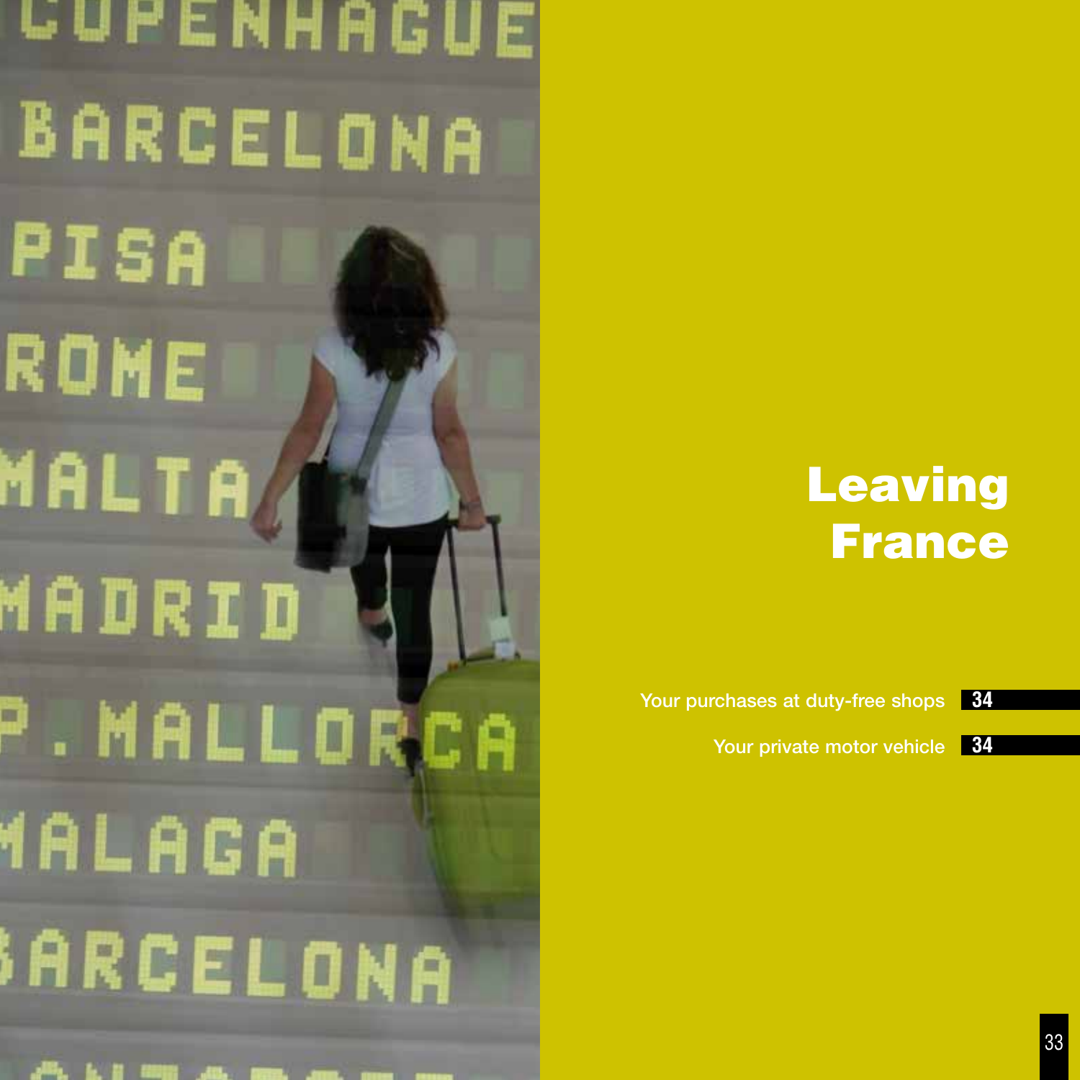**CUPENHAGUE** BARCELONA PISA ROME MALTA MADRID P. MALLORCA **YALAGA SARCELONA** 

# Leaving France

Your purchases at duty-free shops **34**

Your private motor vehicle **34**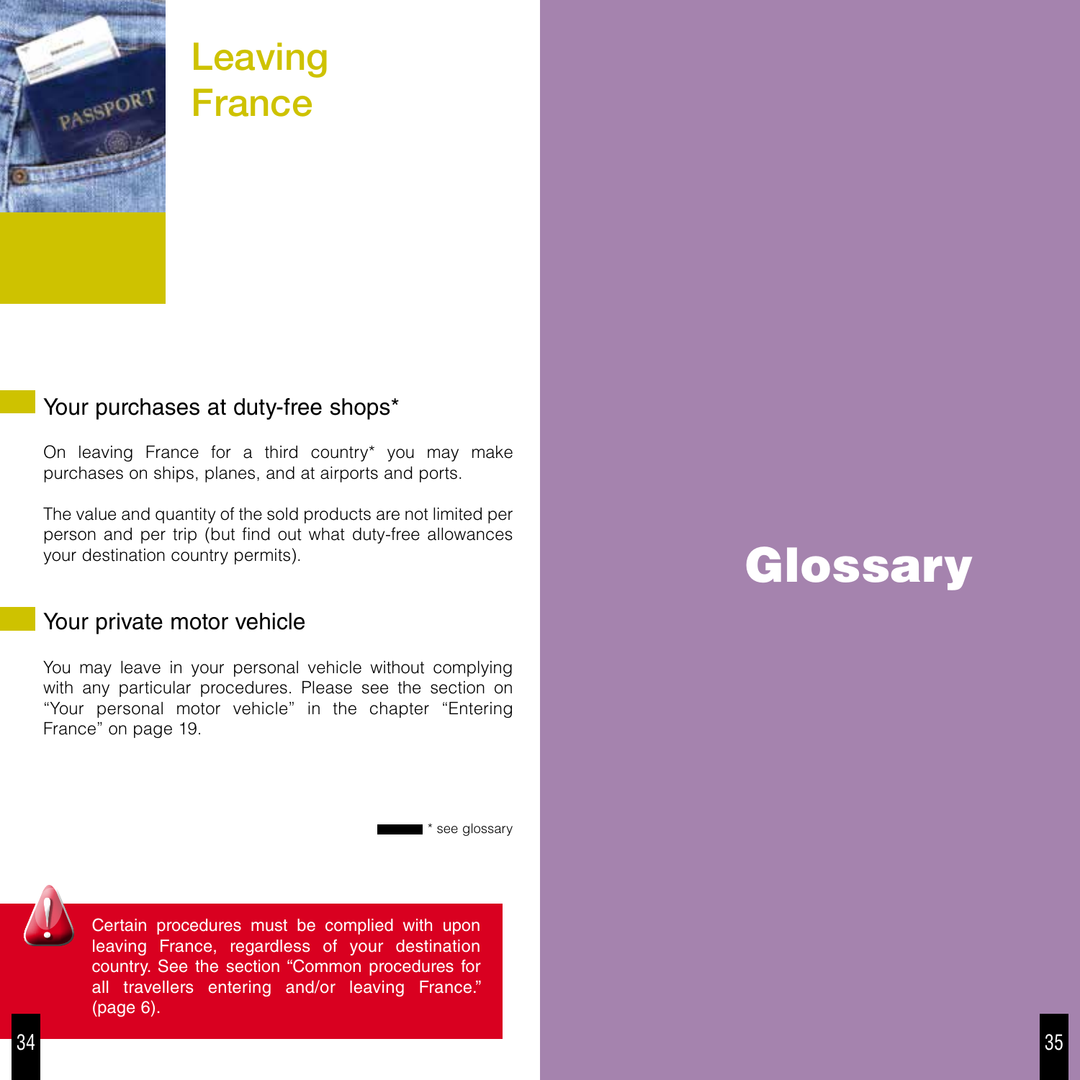

# Leaving **France**

# Your purchases at duty-free shops\*

On leaving France for a third country\* you may make purchases on ships, planes, and at airports and ports.

The value and quantity of the sold products are not limited per person and per trip (but find out what duty-free allowances your destination country permits).

# Your private motor vehicle

You may leave in your personal vehicle without complying with any particular procedures. Please see the section on "Your personal motor vehicle" in the chapter "Entering France" on page 19.

\* see glossary



Certain procedures must be complied with upon leaving France, regardless of your destination country. See the section "Common procedures for all travellers entering and/or leaving France." (page 6).

# **Glossary**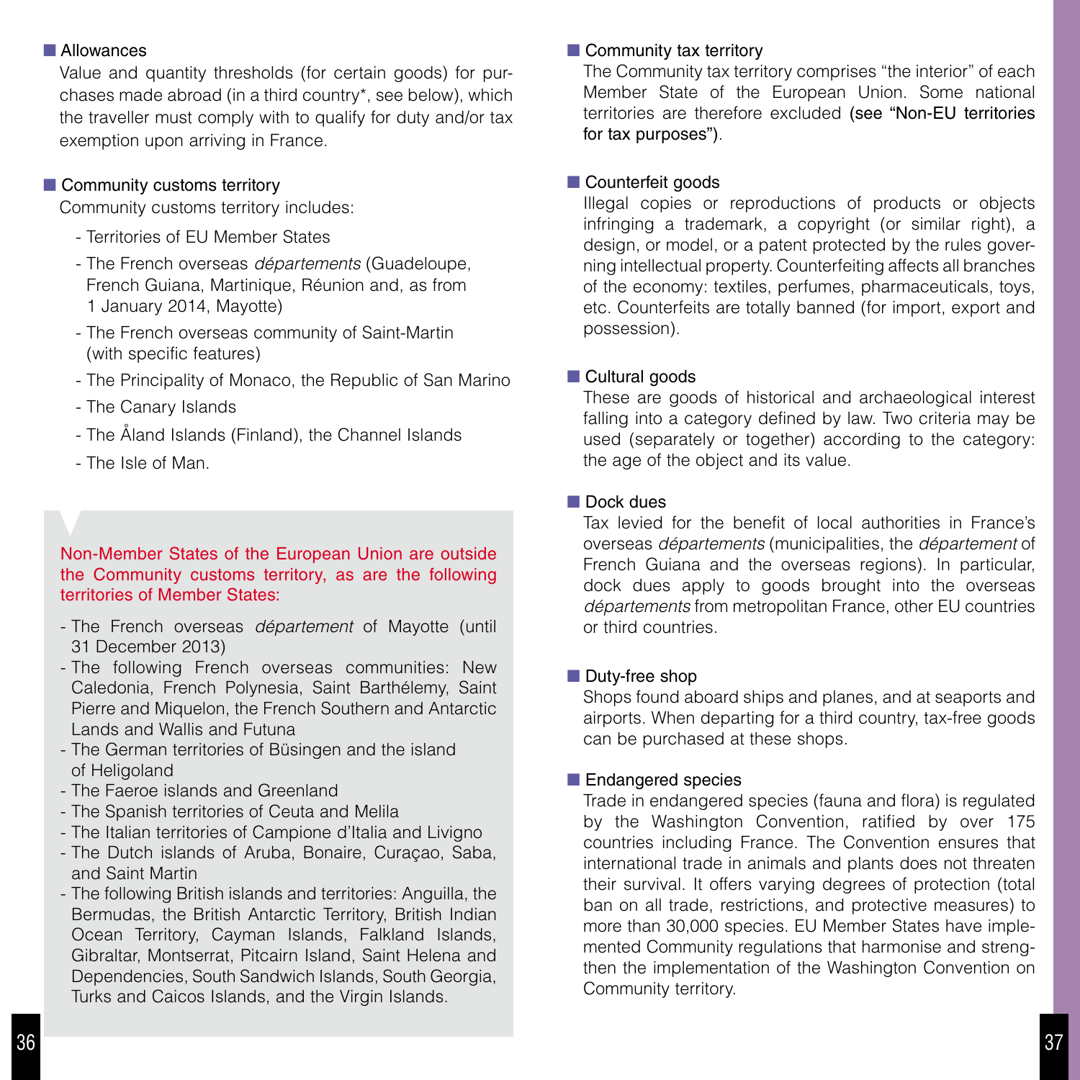#### **N** Allowances

Value and quantity thresholds (for certain goods) for purchases made abroad (in a third country\*, see below), which the traveller must comply with to qualify for duty and/or tax exemption upon arriving in France.

#### $\blacksquare$  Community customs territory

Community customs territory includes:

- Territories of EU Member States
- The French overseas *départements* (Guadeloupe, French Guiana, Martinique, Réunion and, as from 1 January 2014, Mayotte)
- The French overseas community of Saint-Martin (with specific features)
- The Principality of Monaco, the Republic of San Marino
- The Canary Islands
- The Åland Islands (Finland), the Channel Islands
- The Isle of Man.

Non-Member States of the European Union are outside the Community customs territory, as are the following territories of Member States:

- The French overseas *département* of Mayotte (until 31 December 2013)
- The following French overseas communities: New Caledonia, French Polynesia, Saint Barthélemy, Saint Pierre and Miquelon, the French Southern and Antarctic Lands and Wallis and Futuna
- The German territories of Büsingen and the island of Heligoland
- The Faeroe islands and Greenland
- The Spanish territories of Ceuta and Melila
- The Italian territories of Campione d'Italia and Livigno
- The Dutch islands of Aruba, Bonaire, Curaçao, Saba, and Saint Martin
- The following British islands and territories: Anguilla, the Bermudas, the British Antarctic Territory, British Indian Ocean Territory, Cayman Islands, Falkland Islands, Gibraltar, Montserrat, Pitcairn Island, Saint Helena and Dependencies, South Sandwich Islands, South Georgia, Turks and Caicos Islands, and the Virgin Islands.

#### $\blacksquare$  Community tax territory

The Community tax territory comprises "the interior" of each Member State of the European Union. Some national territories are therefore excluded (see "Non-EU territories for tax purposes").

#### **n** Counterfeit goods

Illegal copies or reproductions of products or objects infringing a trademark, a copyright (or similar right), a design, or model, or a patent protected by the rules governing intellectual property. Counterfeiting affects all branches of the economy: textiles, perfumes, pharmaceuticals, toys, etc. Counterfeits are totally banned (for import, export and possession).

#### ■ Cultural goods

These are goods of historical and archaeological interest falling into a category defined by law. Two criteria may be used (separately or together) according to the category: the age of the object and its value.

#### $\blacksquare$  Dock dues

Tax levied for the benefit of local authorities in France's overseas *départements* (municipalities, the *département* of French Guiana and the overseas regions). In particular, dock dues apply to goods brought into the overseas *départements* from metropolitan France, other EU countries or third countries.

#### $\blacksquare$  Duty-free shop

Shops found aboard ships and planes, and at seaports and airports. When departing for a third country, tax-free goods can be purchased at these shops.

#### **Endangered species**

Trade in endangered species (fauna and flora) is regulated by the Washington Convention, ratified by over 175 countries including France. The Convention ensures that international trade in animals and plants does not threaten their survival. It offers varying degrees of protection (total ban on all trade, restrictions, and protective measures) to more than 30,000 species. EU Member States have implemented Community regulations that harmonise and strengthen the implementation of the Washington Convention on Community territory.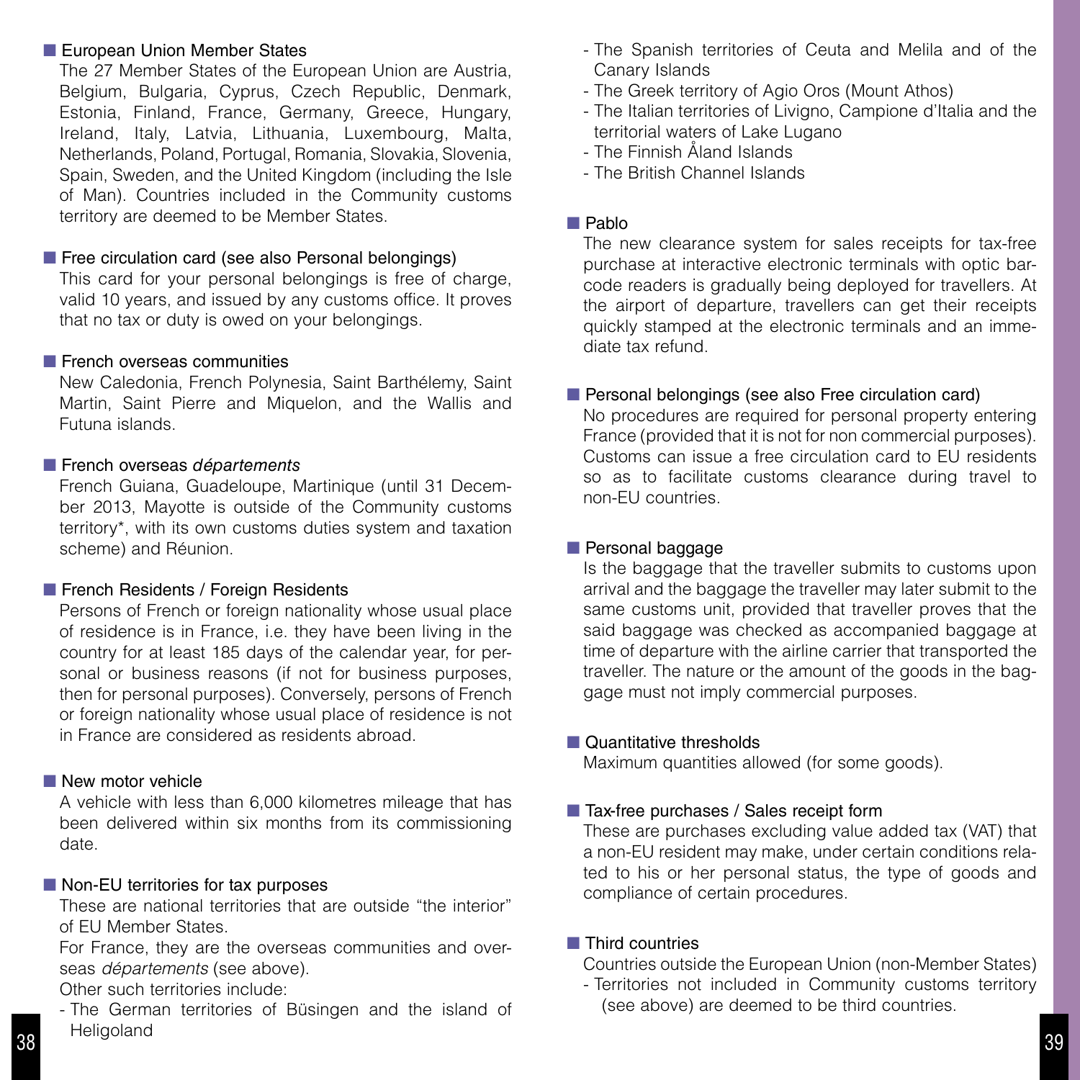#### European Union Member States

The 27 Member States of the European Union are Austria, Belgium, Bulgaria, Cyprus, Czech Republic, Denmark, Estonia, Finland, France, Germany, Greece, Hungary, Ireland, Italy, Latvia, Lithuania, Luxembourg, Malta, Netherlands, Poland, Portugal, Romania, Slovakia, Slovenia, Spain, Sweden, and the United Kingdom (including the Isle of Man). Countries included in the Community customs territory are deemed to be Member States.

#### $\blacksquare$  Free circulation card (see also Personal belongings)

This card for your personal belongings is free of charge, valid 10 years, and issued by any customs office. It proves that no tax or duty is owed on your belongings.

#### $\blacksquare$  French overseas communities

New Caledonia, French Polynesia, Saint Barthélemy, Saint Martin, Saint Pierre and Miquelon, and the Wallis and Futuna islands.

#### ■ French overseas *départements*

French Guiana, Guadeloupe, Martinique (until 31 December 2013, Mayotte is outside of the Community customs territory\*, with its own customs duties system and taxation scheme) and Réunion.

#### **French Residents / Foreign Residents**

Persons of French or foreign nationality whose usual place of residence is in France, i.e. they have been living in the country for at least 185 days of the calendar year, for personal or business reasons (if not for business purposes, then for personal purposes). Conversely, persons of French or foreign nationality whose usual place of residence is not in France are considered as residents abroad.

#### $\blacksquare$  New motor vehicle

A vehicle with less than 6,000 kilometres mileage that has been delivered within six months from its commissioning date.

#### $\blacksquare$  Non-EU territories for tax purposes

These are national territories that are outside "the interior" of EU Member States.

For France, they are the overseas communities and overseas *départements* (see above).

Other such territories include:

- The German territories of Büsingen and the island of Heligoland <sup>39</sup>

- The Spanish territories of Ceuta and Melila and of the Canary Islands
- The Greek territory of Agio Oros (Mount Athos)
- The Italian territories of Livigno, Campione d'Italia and the territorial waters of Lake Lugano
- The Finnish Åland Islands
- The British Channel Islands

#### $\blacksquare$  Pablo

The new clearance system for sales receipts for tax-free purchase at interactive electronic terminals with optic barcode readers is gradually being deployed for travellers. At the airport of departure, travellers can get their receipts quickly stamped at the electronic terminals and an immediate tax refund.

#### **Personal belongings (see also Free circulation card)**

No procedures are required for personal property entering France (provided that it is not for non commercial purposes). Customs can issue a free circulation card to EU residents so as to facilitate customs clearance during travel to non-EU countries.

#### $\blacksquare$  Personal baggage

Is the baggage that the traveller submits to customs upon arrival and the baggage the traveller may later submit to the same customs unit, provided that traveller proves that the said baggage was checked as accompanied baggage at time of departure with the airline carrier that transported the traveller. The nature or the amount of the goods in the baggage must not imply commercial purposes.

#### ■ Quantitative thresholds

Maximum quantities allowed (for some goods).

#### ■ Tax-free purchases / Sales receipt form

These are purchases excluding value added tax (VAT) that a non-EU resident may make, under certain conditions related to his or her personal status, the type of goods and compliance of certain procedures.

#### $\blacksquare$  Third countries

Countries outside the European Union (non-Member States)

- Territories not included in Community customs territory (see above) are deemed to be third countries.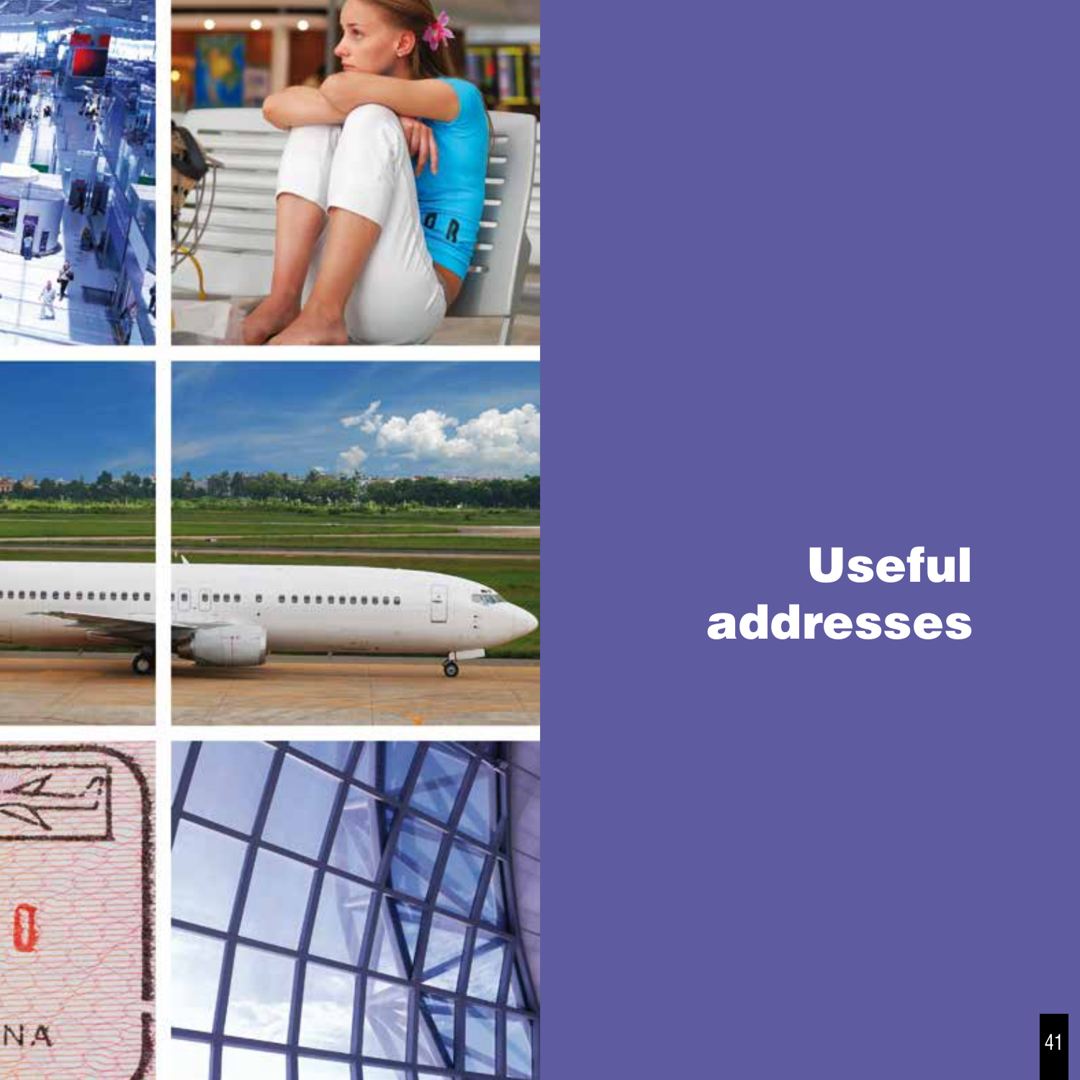









# Useful addresses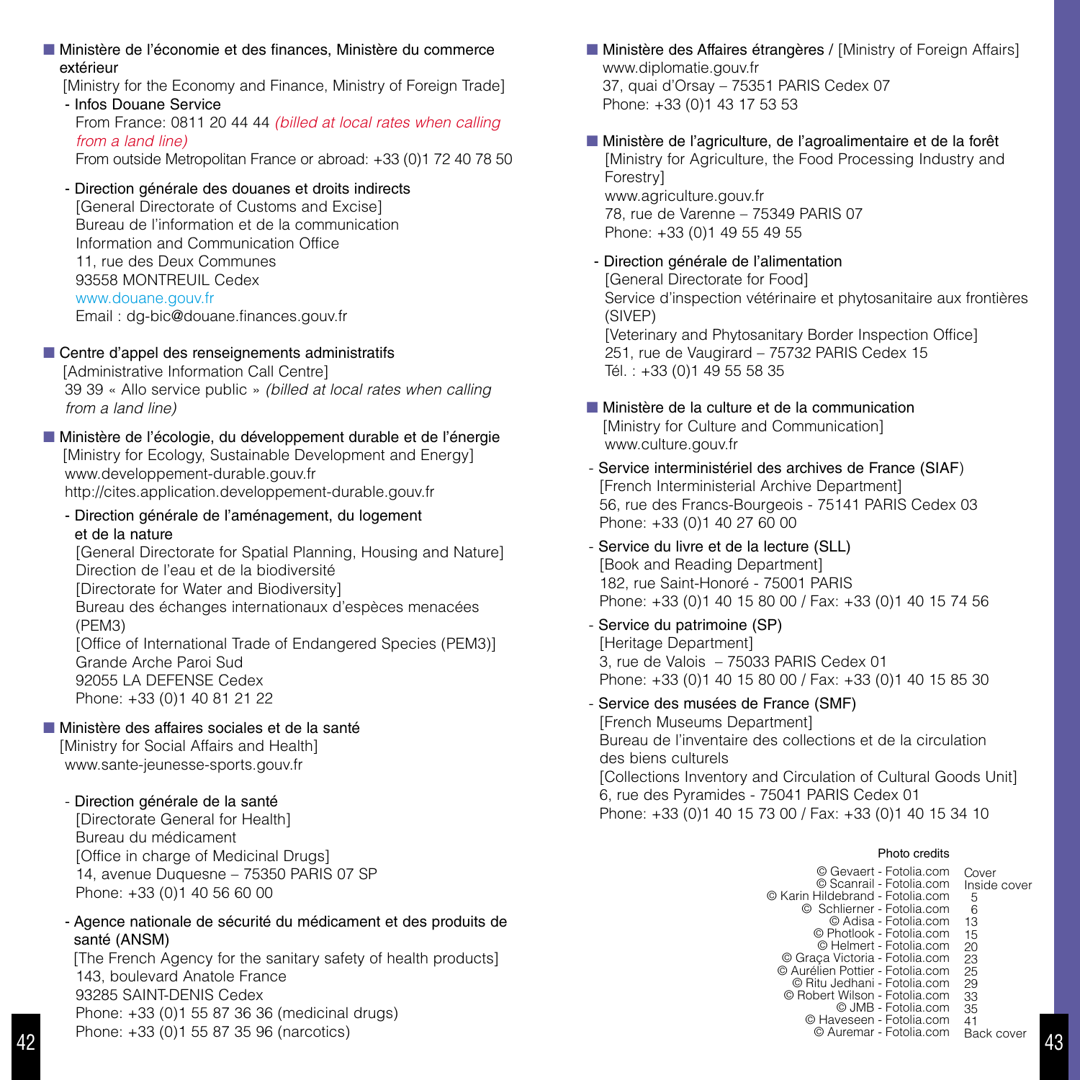#### n Ministère de l'économie et des finances, Ministère du commerce extérieur

[Ministry for the Economy and Finance, Ministry of Foreign Trade] - Infos Douane Service

From France: 0811 20 44 44 *(billed at local rates when calling from a land line)* From outside Metropolitan France or abroad: +33 (0)1 72 40 78 50

#### - Direction générale des douanes et droits indirects

[General Directorate of Customs and Excise] Bureau de l'information et de la communication Information and Communication Office 11, rue des Deux Communes 93558 MONTREUIL Cedex www.douane.gouv.fr Email : dg-bic@douane.finances.gouv.fr

#### Centre d'appel des renseignements administratifs

[Administrative Information Call Centre] 39 39 « Allo service public » *(billed at local rates when calling from a land line)*

#### n Ministère de l'écologie, du développement durable et de l'énergie [Ministry for Ecology, Sustainable Development and Energy] www.developpement-durable.gouv.fr http://cites.application.developpement-durable.gouv.fr

- Direction générale de l'aménagement, du logement et de la nature

[General Directorate for Spatial Planning, Housing and Nature] Direction de l'eau et de la biodiversité [Directorate for Water and Biodiversity] Bureau des échanges internationaux d'espèces menacées (PEM3) [Office of International Trade of Endangered Species (PEM3)] Grande Arche Paroi Sud 92055 LA DEFENSE Cedex Phone: +33 (0)1 40 81 21 22

#### n Ministère des affaires sociales et de la santé

[Ministry for Social Affairs and Health] www.sante-jeunesse-sports.gouv.fr

- Direction générale de la santé

[Directorate General for Health] Bureau du médicament [Office in charge of Medicinal Drugs] 14, avenue Duquesne – 75350 PARIS 07 SP Phone: +33 (0)1 40 56 60 00

#### - Agence nationale de sécurité du médicament et des produits de santé (ANSM)

[The French Agency for the sanitary safety of health products] 143, boulevard Anatole France 93285 SAINT-DENIS Cedex Phone: +33 (0)1 55 87 36 36 (medicinal drugs) Phone: +33 (0)1 55 87 35 96 (narcotics)

**Ninistère des Affaires étrangères / [Ministry of Foreign Affairs]** www.diplomatie.gouv.fr 37, quai d'Orsay – 75351 PARIS Cedex 07 Phone: +33 (0)1 43 17 53 53

n Ministère de l'agriculture, de l'agroalimentaire et de la forêt [Ministry for Agriculture, the Food Processing Industry and **Forestry**<sup>1</sup> www.agriculture.gouv.fr 78, rue de Varenne – 75349 PARIS 07 Phone: +33 (0)1 49 55 49 55

- Direction générale de l'alimentation [General Directorate for Food] Service d'inspection vétérinaire et phytosanitaire aux frontières (SIVEP) [Veterinary and Phytosanitary Border Inspection Office] 251, rue de Vaugirard – 75732 PARIS Cedex 15 Tél. : +33 (0)1 49 55 58 35
- n Ministère de la culture et de la communication [Ministry for Culture and Communication] www.culture.gouv.fr
- Service interministériel des archives de France (SIAF) [French Interministerial Archive Department] 56, rue des Francs-Bourgeois - 75141 PARIS Cedex 03 Phone: +33 (0)1 40 27 60 00
- Service du livre et de la lecture (SLL) [Book and Reading Department] 182, rue Saint-Honoré - 75001 PARIS Phone: +33 (0)1 40 15 80 00 / Fax: +33 (0)1 40 15 74 56
- Service du patrimoine (SP) [Heritage Department] 3, rue de Valois – 75033 PARIS Cedex 01 Phone: +33 (0)1 40 15 80 00 / Fax: +33 (0)1 40 15 85 30
- Service des musées de France (SMF) [French Museums Department] Bureau de l'inventaire des collections et de la circulation des biens culturels [Collections Inventory and Circulation of Cultural Goods Unit] 6, rue des Pyramides - 75041 PARIS Cedex 01 Phone: +33 (0)1 40 15 73 00 / Fax: +33 (0)1 40 15 34 10

#### Photo credits

| © Gevaert - Fotolia.com          | Cover        |
|----------------------------------|--------------|
| © Scanrail - Fotolia.com         | Inside cover |
| © Karin Hildebrand - Fotolia.com | 5            |
| © Schlierner - Fotolia.com       | 6            |
| © Adisa - Fotolia.com            | 13           |
| © Photlook - Fotolia.com         | 15           |
| © Helmert - Fotolia.com          | 20           |
| © Graca Victoria - Fotolia.com   | 23           |
| © Aurélien Pottier - Fotolia.com | 25           |
| © Ritu Jedhani - Fotolia.com     | 29           |
| © Robert Wilson - Fotolia.com    | 33           |
| © JMB - Fotolia.com              | 35           |
| © Haveseen - Fotolia.com         | 41           |
| © Auremar - Fotolia.com          | Rack cover   |
|                                  |              |